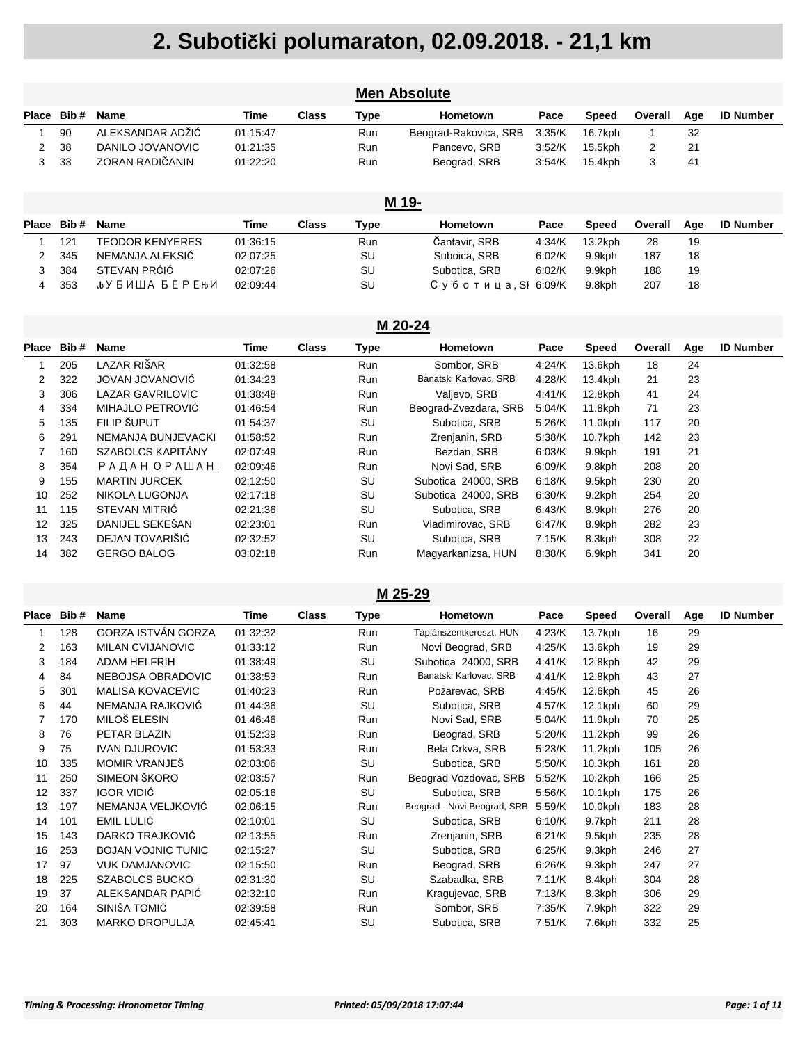| <b>Men Absolute</b> |       |                         |          |              |             |                       |        |              |                |     |                  |  |  |
|---------------------|-------|-------------------------|----------|--------------|-------------|-----------------------|--------|--------------|----------------|-----|------------------|--|--|
| <b>Place</b>        | Bib#  | <b>Name</b>             | Time     | <b>Class</b> | <b>Type</b> | Hometown              | Pace   | <b>Speed</b> | Overall        | Age | <b>ID Number</b> |  |  |
|                     | 90    | ALEKSANDAR ADŽIĆ        | 01:15:47 |              | <b>Run</b>  | Beograd-Rakovica, SRB | 3:35/K | 16.7kph      |                | 32  |                  |  |  |
| 2                   | 38    | DANILO JOVANOVIC        | 01:21:35 |              | <b>Run</b>  | Pancevo, SRB          | 3:52/K | 15.5kph      | $\overline{2}$ | 21  |                  |  |  |
| 3                   | 33    | ZORAN RADIČANIN         | 01:22:20 |              | <b>Run</b>  | Beograd, SRB          | 3:54/K | 15.4kph      | 3              | 41  |                  |  |  |
|                     |       |                         |          |              |             |                       |        |              |                |     |                  |  |  |
|                     | M 19- |                         |          |              |             |                       |        |              |                |     |                  |  |  |
| Place               | Bib#  | <b>Name</b>             | Time     | <b>Class</b> | Type        | Hometown              | Pace   | Speed        | Overall        | Age | <b>ID Number</b> |  |  |
|                     | 121   | TEODOR KENYERES         | 01:36:15 |              | <b>Run</b>  | Čantavir, SRB         | 4:34/K | $13.2$ kph   | 28             | 19  |                  |  |  |
| 2                   | 345   | NEMANJA ALEKSIĆ         | 02:07:25 |              | SU          | Suboica, SRB          | 6:02/K | 9.9kph       | 187            | 18  |                  |  |  |
| 3                   | 384   | STEVAN PRÓIÓ            | 02:07:26 |              | SU          | Subotica, SRB         | 6:02/K | 9.9kph       | 188            | 19  |                  |  |  |
| 4                   | 353   | <b>Jb</b> У БИША БЕРЕЊИ | 02:09:44 |              | SU          | Суботица. SI 6.09/K   |        | 9.8kph       | 207            | 18  |                  |  |  |

#### **M 20-24 Place Bib # Name Time Class Type Hometown Pace Speed Overall Age ID Number** 205 LAZAR RIŠAR 01:32:58 Run Sombor, SRB 4:24/K 13.6kph 18 24 322 JOVAN JOVANOVIĆ 01:34:23 Run Banatski Karlovac, SRB 4:28/K 13.4kph 21 23 306 LAZAR GAVRILOVIC 01:38:48 Run Valjevo, SRB 4:41/K 12.8kph 41 24 334 MIHAJLO PETROVIĆ 01:46:54 Run Beograd-Zvezdara, SRB 5:04/K 11.8kph 71 23 135 FILIP ŠUPUT 01:54:37 SU Subotica, SRB 5:26/K 11.0kph 117 20 291 NEMANJA BUNJEVACKI 01:58:52 Run Zrenjanin, SRB 5:38/K 10.7kph 142 23 160 SZABOLCS KAPITÁNY 02:07:49 Run Bezdan, SRB 6:03/K 9.9kph 191 21 8 354 РАДАН ОРАШАН 02:09:46 Run Novi Sad, SRB 6:09/K 9.8kph 208 20 155 MARTIN JURCEK 02:12:50 SU Subotica 24000, SRB 6:18/K 9.5kph 230 20 252 NIKOLA LUGONJA 02:17:18 SU Subotica 24000, SRB 6:30/K 9.2kph 254 20 115 STEVAN MITRIĆ 02:21:36 SU Subotica, SRB 6:43/K 8.9kph 276 20 325 DANIJEL SEKEŠAN 02:23:01 Run Vladimirovac, SRB 6:47/K 8.9kph 282 23 243 DEJAN TOVARIŠIĆ 02:32:52 SU Subotica, SRB 7:15/K 8.3kph 308 22 382 GERGO BALOG 03:02:18 Run Magyarkanizsa, HUN 8:38/K 6.9kph 341 20

#### **M 25-29**

| Place | Bib# | <b>Name</b>               | Time     | <b>Class</b> | Type      | Hometown                    | Pace   | Speed      | Overall | Age | <b>ID Number</b> |
|-------|------|---------------------------|----------|--------------|-----------|-----------------------------|--------|------------|---------|-----|------------------|
| 1     | 128  | GORZA ISTVÁN GORZA        | 01:32:32 |              | Run       | Táplánszentkereszt, HUN     | 4:23/K | 13.7kph    | 16      | 29  |                  |
| 2     | 163  | <b>MILAN CVIJANOVIC</b>   | 01:33:12 |              | Run       | Novi Beograd, SRB           | 4:25/K | 13.6kph    | 19      | 29  |                  |
| 3     | 184  | <b>ADAM HELFRIH</b>       | 01:38:49 |              | SU        | Subotica 24000, SRB         | 4:41/K | 12.8kph    | 42      | 29  |                  |
| 4     | 84   | NEBOJSA OBRADOVIC         | 01:38:53 |              | Run       | Banatski Karlovac, SRB      | 4:41/K | 12.8kph    | 43      | 27  |                  |
| 5     | 301  | <b>MALISA KOVACEVIC</b>   | 01:40:23 |              | Run       | Požarevac, SRB              | 4:45/K | 12.6kph    | 45      | 26  |                  |
| 6     | 44   | NEMANJA RAJKOVIĆ          | 01:44:36 |              | SU        | Subotica, SRB               | 4:57/K | 12.1kph    | 60      | 29  |                  |
| 7     | 170  | MILOŠ ELESIN              | 01:46:46 |              | Run       | Novi Sad, SRB               | 5:04/K | 11.9kph    | 70      | 25  |                  |
| 8     | 76   | PETAR BLAZIN              | 01:52:39 |              | Run       | Beograd, SRB                | 5:20/K | $11.2$ kph | 99      | 26  |                  |
| 9     | 75   | <b>IVAN DJUROVIC</b>      | 01:53:33 |              | Run       | Bela Crkva, SRB             | 5:23/K | $11.2$ kph | 105     | 26  |                  |
| 10    | 335  | MOMIR VRANJEŠ             | 02:03:06 |              | SU        | Subotica, SRB               | 5:50/K | $10.3$ kph | 161     | 28  |                  |
| 11    | 250  | SIMEON ŠKORO              | 02:03:57 |              | Run       | Beograd Vozdovac, SRB       | 5:52/K | $10.2$ kph | 166     | 25  |                  |
| 12    | 337  | <b>IGOR VIDIĆ</b>         | 02:05:16 |              | SU        | Subotica, SRB               | 5:56/K | $10.1$ kph | 175     | 26  |                  |
| 13    | 197  | NEMANJA VELJKOVIĆ         | 02:06:15 |              | Run       | Beograd - Novi Beograd, SRB | 5:59/K | $10.0$ kph | 183     | 28  |                  |
| 14    | 101  | <b>EMIL LULIĆ</b>         | 02:10:01 |              | <b>SU</b> | Subotica, SRB               | 6:10/K | 9.7kph     | 211     | 28  |                  |
| 15    | 143  | DARKO TRAJKOVIĆ           | 02:13:55 |              | Run       | Zrenjanin, SRB              | 6:21/K | 9.5kph     | 235     | 28  |                  |
| 16    | 253  | <b>BOJAN VOJNIC TUNIC</b> | 02:15:27 |              | SU        | Subotica, SRB               | 6:25/K | 9.3kph     | 246     | 27  |                  |
| 17    | 97   | <b>VUK DAMJANOVIC</b>     | 02:15:50 |              | Run       | Beograd, SRB                | 6:26/K | 9.3kph     | 247     | 27  |                  |
| 18    | 225  | <b>SZABOLCS BUCKO</b>     | 02:31:30 |              | SU        | Szabadka, SRB               | 7:11/K | 8.4kph     | 304     | 28  |                  |
| 19    | 37   | ALEKSANDAR PAPIĆ          | 02:32:10 |              | Run       | Kragujevac, SRB             | 7:13/K | 8.3kph     | 306     | 29  |                  |
| 20    | 164  | SINIŠA TOMIĆ              | 02:39:58 |              | Run       | Sombor, SRB                 | 7:35/K | 7.9kph     | 322     | 29  |                  |
| 21    | 303  | <b>MARKO DROPULJA</b>     | 02:45:41 |              | SU        | Subotica, SRB               | 7:51/K | 7.6kph     | 332     | 25  |                  |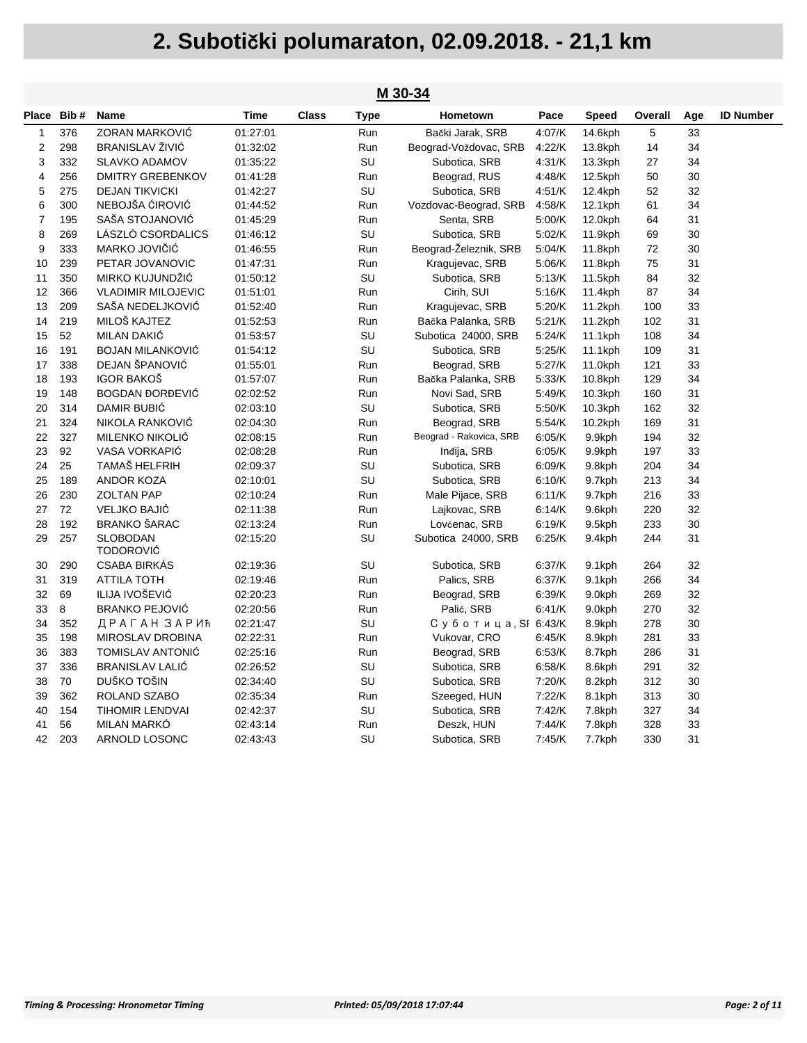|                | M 30-34    |                                     |          |              |             |                         |        |              |         |     |                  |  |  |
|----------------|------------|-------------------------------------|----------|--------------|-------------|-------------------------|--------|--------------|---------|-----|------------------|--|--|
|                | Place Bib# | Name                                | Time     | <b>Class</b> | <b>Type</b> | Hometown                | Pace   | <b>Speed</b> | Overall | Age | <b>ID Number</b> |  |  |
| 1              | 376        | ZORAN MARKOVIĆ                      | 01:27:01 |              | Run         | Bački Jarak, SRB        | 4:07/K | 14.6kph      | 5       | 33  |                  |  |  |
| $\overline{2}$ | 298        | BRANISLAV ŽIVIĆ                     | 01:32:02 |              | Run         | Beograd-Voždovac, SRB   | 4:22/K | 13.8kph      | 14      | 34  |                  |  |  |
| 3              | 332        | <b>SLAVKO ADAMOV</b>                | 01:35:22 |              | SU          | Subotica, SRB           | 4:31/K | 13.3kph      | 27      | 34  |                  |  |  |
| 4              | 256        | <b>DMITRY GREBENKOV</b>             | 01:41:28 |              | Run         | Beograd, RUS            | 4:48/K | 12.5kph      | 50      | 30  |                  |  |  |
| 5              | 275        | <b>DEJAN TIKVICKI</b>               | 01:42:27 |              | SU          | Subotica, SRB           | 4:51/K | 12.4kph      | 52      | 32  |                  |  |  |
| 6              | 300        | NEBOJŠA ĆIROVIĆ                     | 01:44:52 |              | Run         | Vozdovac-Beograd, SRB   | 4:58/K | 12.1kph      | 61      | 34  |                  |  |  |
| $\overline{7}$ | 195        | SAŠA STOJANOVIĆ                     | 01:45:29 |              | Run         | Senta, SRB              | 5:00/K | 12.0kph      | 64      | 31  |                  |  |  |
| 8              | 269        | LÁSZLÓ CSORDALICS                   | 01:46:12 |              | SU          | Subotica, SRB           | 5:02/K | 11.9kph      | 69      | 30  |                  |  |  |
| 9              | 333        | MARKO JOVIČIĆ                       | 01:46:55 |              | Run         | Beograd-Železnik, SRB   | 5:04/K | 11.8kph      | 72      | 30  |                  |  |  |
| 10             | 239        | PETAR JOVANOVIC                     | 01:47:31 |              | Run         | Kragujevac, SRB         | 5:06/K | 11.8kph      | 75      | 31  |                  |  |  |
| 11             | 350        | MIRKO KUJUNDŽIĆ                     | 01:50:12 |              | SU          | Subotica, SRB           | 5:13/K | 11.5kph      | 84      | 32  |                  |  |  |
| 12             | 366        | <b>VLADIMIR MILOJEVIC</b>           | 01:51:01 |              | Run         | Cirih, SUI              | 5.16/K | 11.4kph      | 87      | 34  |                  |  |  |
| 13             | 209        | SAŠA NEDELJKOVIĆ                    | 01:52:40 |              | Run         | Kragujevac, SRB         | 5:20/K | 11.2kph      | 100     | 33  |                  |  |  |
| 14             | 219        | MILOŠ KAJTEZ                        | 01:52:53 |              | Run         | Bačka Palanka, SRB      | 5:21/K | 11.2kph      | 102     | 31  |                  |  |  |
| 15             | 52         | MILAN DAKIĆ                         | 01:53:57 |              | SU          | Subotica 24000, SRB     | 5:24/K | 11.1kph      | 108     | 34  |                  |  |  |
| 16             | 191        | <b>BOJAN MILANKOVIĆ</b>             | 01:54:12 |              | SU          | Subotica, SRB           | 5:25/K | 11.1kph      | 109     | 31  |                  |  |  |
| 17             | 338        | DEJAN ŠPANOVIĆ                      | 01:55:01 |              | Run         | Beograd, SRB            | 5:27/K | 11.0kph      | 121     | 33  |                  |  |  |
| 18             | 193        | <b>IGOR BAKOŠ</b>                   | 01:57:07 |              | Run         | Bačka Palanka, SRB      | 5.33/K | 10.8kph      | 129     | 34  |                  |  |  |
| 19             | 148        | <b>BOGDAN ĐORĐEVIĆ</b>              | 02:02:52 |              | Run         | Novi Sad, SRB           | 5:49/K | 10.3kph      | 160     | 31  |                  |  |  |
| 20             | 314        | DAMIR BUBIĆ                         | 02:03:10 |              | SU          | Subotica, SRB           | 5:50/K | 10.3kph      | 162     | 32  |                  |  |  |
| 21             | 324        | NIKOLA RANKOVIĆ                     | 02:04:30 |              | Run         | Beograd, SRB            | 5:54/K | 10.2kph      | 169     | 31  |                  |  |  |
| 22             | 327        | MILENKO NIKOLIĆ                     | 02:08:15 |              | Run         | Beograd - Rakovica, SRB | 6.05/K | 9.9kph       | 194     | 32  |                  |  |  |
| 23             | 92         | VASA VORKAPIĆ                       | 02:08:28 |              | Run         | Indija, SRB             | 6.05/K | 9.9kph       | 197     | 33  |                  |  |  |
| 24             | 25         | TAMAŠ HELFRIH                       | 02:09:37 |              | SU          | Subotica, SRB           | 6:09/K | 9.8kph       | 204     | 34  |                  |  |  |
| 25             | 189        | <b>ANDOR KOZA</b>                   | 02:10:01 |              | SU          | Subotica, SRB           | 6:10/K | 9.7kph       | 213     | 34  |                  |  |  |
| 26             | 230        | <b>ZOLTAN PAP</b>                   | 02:10:24 |              | Run         | Male Pijace, SRB        | 6.11/K | 9.7kph       | 216     | 33  |                  |  |  |
| 27             | 72         | <b>VELJKO BAJIĆ</b>                 | 02:11:38 |              | Run         | Lajkovac, SRB           | 6:14/K | 9.6kph       | 220     | 32  |                  |  |  |
| 28             | 192        | <b>BRANKO ŠARAC</b>                 | 02:13:24 |              | Run         | Lovćenac, SRB           | 6:19/K | 9.5kph       | 233     | 30  |                  |  |  |
| 29             | 257        | <b>SLOBODAN</b><br><b>TODOROVIĆ</b> | 02:15:20 |              | SU          | Subotica 24000, SRB     | 6:25/K | 9.4kph       | 244     | 31  |                  |  |  |
| 30             | 290        | <b>CSABA BIRKAS</b>                 | 02:19:36 |              | SU          | Subotica, SRB           | 6:37/K | 9.1kph       | 264     | 32  |                  |  |  |
| 31             | 319        | <b>ATTILA TOTH</b>                  | 02:19:46 |              | Run         | Palics, SRB             | 6:37/K | 9.1kph       | 266     | 34  |                  |  |  |
| 32             | 69         | ILIJA IVOŠEVIĆ                      | 02:20:23 |              | Run         | Beograd, SRB            | 6.39/K | 9.0kph       | 269     | 32  |                  |  |  |
| 33             | 8          | <b>BRANKO PEJOVIĆ</b>               | 02:20:56 |              | Run         | Palić, SRB              | 6.41/K | 9.0kph       | 270     | 32  |                  |  |  |
| 34             | 352        | ДРАГАН ЗАРИЋ                        | 02:21:47 |              | SU          | Суботица, SI 6:43/K     |        | 8.9kph       | 278     | 30  |                  |  |  |
| 35             | 198        | MIROSLAV DROBINA                    | 02:22:31 |              | Run         | Vukovar, CRO            | 6:45/K | 8.9kph       | 281     | 33  |                  |  |  |
| 36             | 383        | <b>TOMISLAV ANTONIĆ</b>             | 02:25:16 |              | Run         | Beograd, SRB            | 6.53/K | 8.7kph       | 286     | 31  |                  |  |  |
| 37             | 336        | <b>BRANISLAV LALIĆ</b>              | 02:26:52 |              | SU          | Subotica, SRB           | 6:58/K | 8.6kph       | 291     | 32  |                  |  |  |
| 38             | $70\,$     | DUŠKO TOŠIN                         | 02:34:40 |              | SU          | Subotica, SRB           | 7:20/K | 8.2kph       | 312     | 30  |                  |  |  |
| 39             | 362        | ROLAND SZABO                        | 02:35:34 |              | Run         | Szeeged, HUN            | 7:22/K | 8.1kph       | 313     | 30  |                  |  |  |
| 40             | 154        | <b>TIHOMIR LENDVAI</b>              | 02:42:37 |              | SU          | Subotica, SRB           | 7:42/K | 7.8kph       | 327     | 34  |                  |  |  |
| 41             | 56         | <b>MILAN MARKO</b>                  | 02:43:14 |              | Run         | Deszk, HUN              | 7:44/K | 7.8kph       | 328     | 33  |                  |  |  |
| 42             | 203        | ARNOLD LOSONC                       | 02:43:43 |              | SU          | Subotica, SRB           | 7:45/K | 7.7kph       | 330     | 31  |                  |  |  |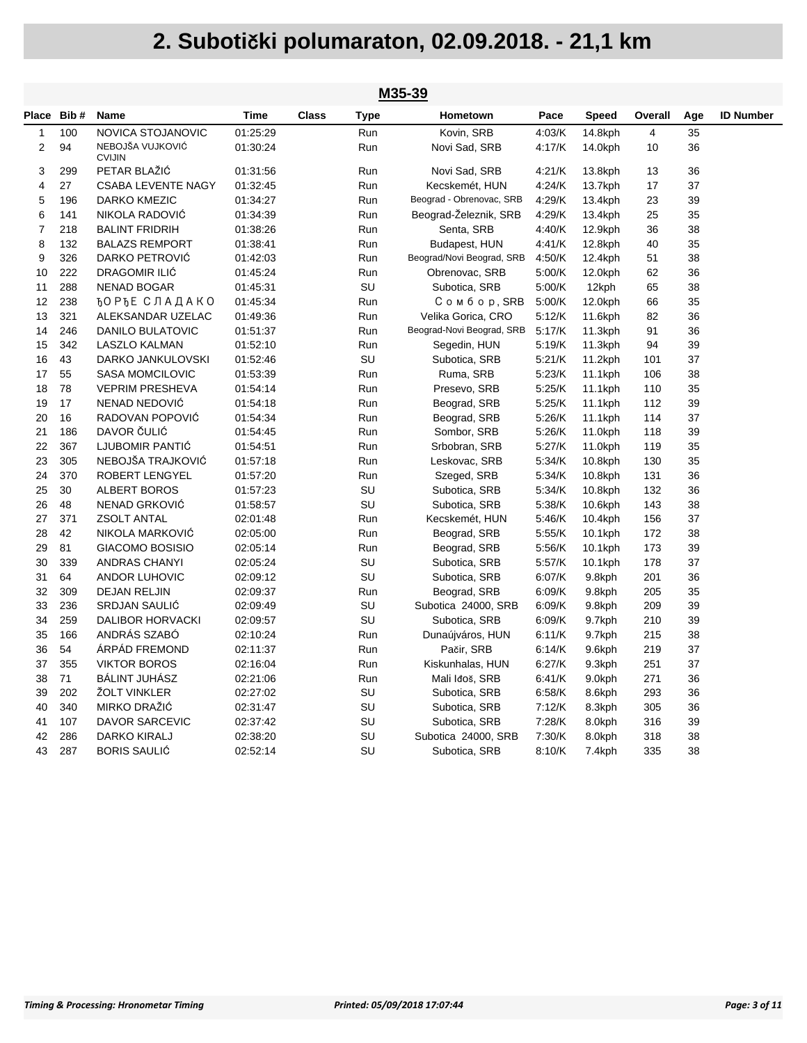|                | M35-39 |                                   |          |              |             |                           |        |         |         |     |                  |  |  |
|----------------|--------|-----------------------------------|----------|--------------|-------------|---------------------------|--------|---------|---------|-----|------------------|--|--|
| Place          | Bib#   | <b>Name</b>                       | Time     | <b>Class</b> | <b>Type</b> | Hometown                  | Pace   | Speed   | Overall | Age | <b>ID Number</b> |  |  |
| 1              | 100    | NOVICA STOJANOVIC                 | 01:25:29 |              | Run         | Kovin, SRB                | 4:03/K | 14.8kph | 4       | 35  |                  |  |  |
| 2              | 94     | NEBOJŠA VUJKOVIĆ<br><b>CVIJIN</b> | 01:30:24 |              | Run         | Novi Sad, SRB             | 4:17/K | 14.0kph | 10      | 36  |                  |  |  |
| 3              | 299    | PETAR BLAŽIĆ                      | 01:31:56 |              | Run         | Novi Sad, SRB             | 4:21/K | 13.8kph | 13      | 36  |                  |  |  |
| 4              | 27     | <b>CSABA LEVENTE NAGY</b>         | 01:32:45 |              | Run         | Kecskemét, HUN            | 4:24/K | 13.7kph | 17      | 37  |                  |  |  |
| 5              | 196    | DARKO KMEZIC                      | 01:34:27 |              | Run         | Beograd - Obrenovac, SRB  | 4:29/K | 13.4kph | 23      | 39  |                  |  |  |
| 6              | 141    | NIKOLA RADOVIĆ                    | 01:34:39 |              | Run         | Beograd-Železnik, SRB     | 4:29/K | 13.4kph | 25      | 35  |                  |  |  |
| $\overline{7}$ | 218    | <b>BALINT FRIDRIH</b>             | 01:38:26 |              | Run         | Senta, SRB                | 4:40/K | 12.9kph | 36      | 38  |                  |  |  |
| 8              | 132    | <b>BALAZS REMPORT</b>             | 01:38:41 |              | Run         | Budapest, HUN             | 4:41/K | 12.8kph | 40      | 35  |                  |  |  |
| 9              | 326    | DARKO PETROVIĆ                    | 01:42:03 |              | Run         | Beograd/Novi Beograd, SRB | 4:50/K | 12.4kph | 51      | 38  |                  |  |  |
| 10             | 222    | <b>DRAGOMIR ILIĆ</b>              | 01:45:24 |              | Run         | Obrenovac, SRB            | 5:00/K | 12.0kph | 62      | 36  |                  |  |  |
| 11             | 288    | NENAD BOGAR                       | 01:45:31 |              | SU          | Subotica, SRB             | 5:00/K | 12kph   | 65      | 38  |                  |  |  |
| 12             | 238    | <b>ЂО РЂЕ СЛАДАКО</b>             | 01:45:34 |              | Run         | Сомбор, SRB               | 5:00/K | 12.0kph | 66      | 35  |                  |  |  |
| 13             | 321    | ALEKSANDAR UZELAC                 | 01:49:36 |              | Run         | Velika Gorica, CRO        | 5:12/K | 11.6kph | 82      | 36  |                  |  |  |
| 14             | 246    | <b>DANILO BULATOVIC</b>           | 01:51:37 |              | Run         | Beograd-Novi Beograd, SRB | 5.17/K | 11.3kph | 91      | 36  |                  |  |  |
| 15             | 342    | LASZLO KALMAN                     | 01:52:10 |              | Run         | Segedin, HUN              | 5:19/K | 11.3kph | 94      | 39  |                  |  |  |
| 16             | 43     | DARKO JANKULOVSKI                 | 01:52:46 |              | SU          | Subotica, SRB             | 5:21/K | 11.2kph | 101     | 37  |                  |  |  |
| 17             | 55     | <b>SASA MOMCILOVIC</b>            | 01:53:39 |              | Run         | Ruma, SRB                 | 5:23/K | 11.1kph | 106     | 38  |                  |  |  |
| 18             | 78     | <b>VEPRIM PRESHEVA</b>            | 01:54:14 |              | Run         | Presevo, SRB              | 5:25/K | 11.1kph | 110     | 35  |                  |  |  |
| 19             | 17     | NENAD NEDOVIĆ                     | 01:54:18 |              | Run         | Beograd, SRB              | 5:25/K | 11.1kph | 112     | 39  |                  |  |  |
| 20             | 16     | RADOVAN POPOVIC                   | 01:54:34 |              | Run         | Beograd, SRB              | 5:26/K | 11.1kph | 114     | 37  |                  |  |  |
| 21             | 186    | DAVOR ČULIĆ                       | 01:54:45 |              | Run         | Sombor, SRB               | 5:26/K | 11.0kph | 118     | 39  |                  |  |  |
| 22             | 367    | LJUBOMIR PANTIĆ                   | 01:54:51 |              | Run         | Srbobran, SRB             | 5:27/K | 11.0kph | 119     | 35  |                  |  |  |
| 23             | 305    | NEBOJŠA TRAJKOVIĆ                 | 01:57:18 |              | Run         | Leskovac, SRB             | 5:34/K | 10.8kph | 130     | 35  |                  |  |  |
| 24             | 370    | ROBERT LENGYEL                    | 01:57:20 |              | Run         | Szeged, SRB               | 5:34/K | 10.8kph | 131     | 36  |                  |  |  |
| 25             | 30     | <b>ALBERT BOROS</b>               | 01:57:23 |              | SU          | Subotica, SRB             | 5:34/K | 10.8kph | 132     | 36  |                  |  |  |
| 26             | 48     | NENAD GRKOVIĆ                     | 01:58:57 |              | SU          | Subotica, SRB             | 5:38/K | 10.6kph | 143     | 38  |                  |  |  |
| 27             | 371    | <b>ZSOLT ANTAL</b>                | 02:01:48 |              | Run         | Kecskemét, HUN            | 5:46/K | 10.4kph | 156     | 37  |                  |  |  |
| 28             | 42     | NIKOLA MARKOVIĆ                   | 02:05:00 |              | Run         | Beograd, SRB              | 5:55/K | 10.1kph | 172     | 38  |                  |  |  |
| 29             | 81     | GIACOMO BOSISIO                   | 02:05:14 |              | Run         | Beograd, SRB              | 5:56/K | 10.1kph | 173     | 39  |                  |  |  |
| 30             | 339    | <b>ANDRAS CHANYI</b>              | 02:05:24 |              | SU          | Subotica, SRB             | 5:57/K | 10.1kph | 178     | 37  |                  |  |  |
| 31             | 64     | ANDOR LUHOVIC                     | 02:09:12 |              | SU          | Subotica, SRB             | 6:07/K | 9.8kph  | 201     | 36  |                  |  |  |
| 32             | 309    | <b>DEJAN RELJIN</b>               | 02:09:37 |              | Run         | Beograd, SRB              | 6:09/K | 9.8kph  | 205     | 35  |                  |  |  |
| 33             | 236    | SRDJAN SAULIĆ                     | 02:09:49 |              | SU          | Subotica 24000, SRB       | 6:09/K | 9.8kph  | 209     | 39  |                  |  |  |
| 34             | 259    | <b>DALIBOR HORVACKI</b>           | 02:09:57 |              | SU          | Subotica, SRB             | 6:09/K | 9.7kph  | 210     | 39  |                  |  |  |
| 35             | 166    | ANDRÁS SZABÓ                      | 02:10:24 |              | Run         | Dunaújváros, HUN          | 6:11/K | 9.7kph  | 215     | 38  |                  |  |  |
| 36             | 54     | ÁRPÁD FREMOND                     | 02:11:37 |              | Run         | Pačir, SRB                | 6:14/K | 9.6kph  | 219     | 37  |                  |  |  |
| 37             | 355    | <b>VIKTOR BOROS</b>               | 02:16:04 |              | Run         | Kiskunhalas, HUN          | 6:27/K | 9.3kph  | 251     | 37  |                  |  |  |
| 38             | 71     | <b>BALINT JUHASZ</b>              | 02:21:06 |              | Run         | Mali Iđoš, SRB            | 6:41/K | 9.0kph  | 271     | 36  |                  |  |  |
| 39             | 202    | ŽOLT VINKLER                      | 02:27:02 |              | SU          | Subotica, SRB             | 6:58/K | 8.6kph  | 293     | 36  |                  |  |  |
| 40             | 340    | MIRKO DRAŽIĆ                      | 02:31:47 |              | SU          | Subotica, SRB             | 7:12/K | 8.3kph  | 305     | 36  |                  |  |  |
| 41             | 107    | <b>DAVOR SARCEVIC</b>             | 02:37:42 |              | SU          | Subotica, SRB             | 7:28/K | 8.0kph  | 316     | 39  |                  |  |  |
| 42             | 286    | DARKO KIRALJ                      | 02:38:20 |              | SU          | Subotica 24000, SRB       | 7:30/K | 8.0kph  | 318     | 38  |                  |  |  |
| 43             | 287    | <b>BORIS SAULIC</b>               | 02:52:14 |              | SU          | Subotica, SRB             | 8:10/K | 7.4kph  | 335     | 38  |                  |  |  |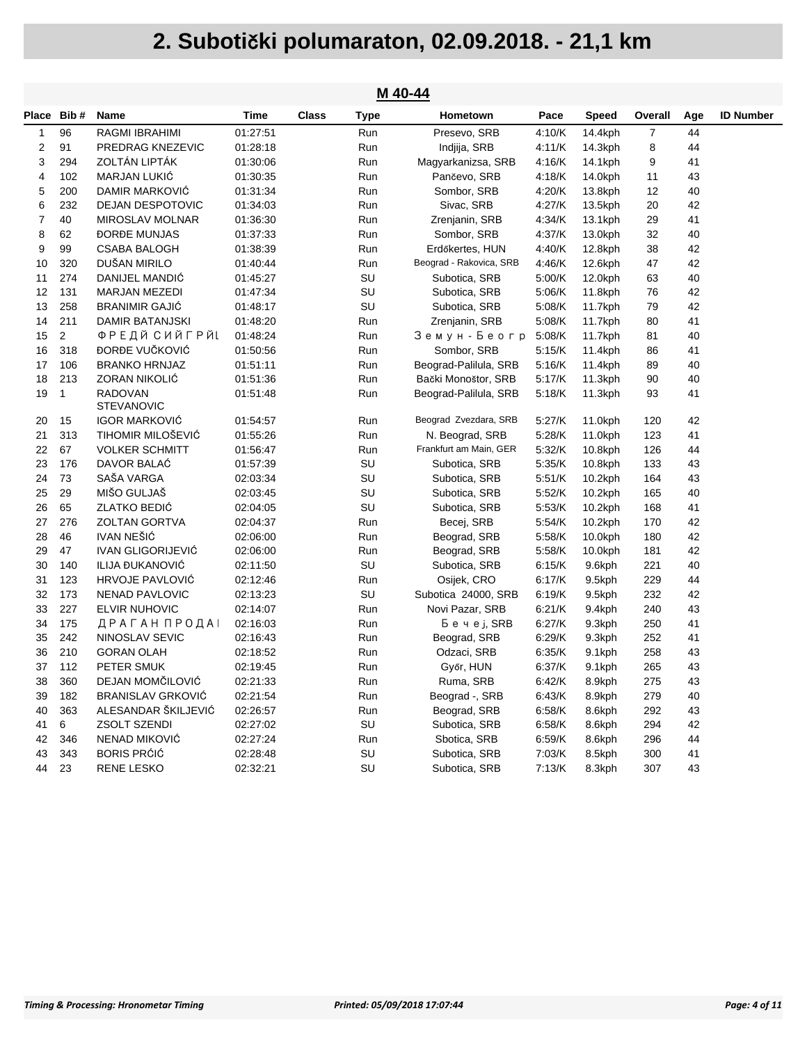| M 40-44        |                                                                                 |                                                                                                                                                    |                                                          |             |                                                 |                                                                                                         |                                                |                            |                   |                            |  |  |
|----------------|---------------------------------------------------------------------------------|----------------------------------------------------------------------------------------------------------------------------------------------------|----------------------------------------------------------|-------------|-------------------------------------------------|---------------------------------------------------------------------------------------------------------|------------------------------------------------|----------------------------|-------------------|----------------------------|--|--|
|                | Name                                                                            | Time                                                                                                                                               | <b>Class</b>                                             | <b>Type</b> | Hometown                                        | Pace                                                                                                    | <b>Speed</b>                                   | Overall                    | Age               | <b>ID Number</b>           |  |  |
| 96             | RAGMI IBRAHIMI                                                                  | 01:27:51                                                                                                                                           |                                                          | Run         | Presevo, SRB                                    | 4:10/K                                                                                                  | 14.4kph                                        | $\overline{7}$             | 44                |                            |  |  |
| 91             | PREDRAG KNEZEVIC                                                                | 01:28:18                                                                                                                                           |                                                          | Run         | Indjija, SRB                                    | 4:11/K                                                                                                  | 14.3kph                                        | 8                          | 44                |                            |  |  |
| 294            | ZOLTÁN LIPTÁK                                                                   | 01:30:06                                                                                                                                           |                                                          | Run         | Magyarkanizsa, SRB                              | 4:16/K                                                                                                  | 14.1kph                                        | 9                          | 41                |                            |  |  |
| 102            | <b>MARJAN LUKIĆ</b>                                                             | 01:30:35                                                                                                                                           |                                                          | Run         | Pančevo, SRB                                    | 4:18/K                                                                                                  | 14.0kph                                        | 11                         | 43                |                            |  |  |
| 200            | DAMIR MARKOVIĆ                                                                  | 01:31:34                                                                                                                                           |                                                          | Run         | Sombor, SRB                                     | 4:20/K                                                                                                  | 13.8kph                                        | 12                         | 40                |                            |  |  |
| 232            | <b>DEJAN DESPOTOVIC</b>                                                         | 01:34:03                                                                                                                                           |                                                          | Run         | Sivac, SRB                                      | 4:27/K                                                                                                  | 13.5kph                                        | 20                         | 42                |                            |  |  |
| 40             | <b>MIROSLAV MOLNAR</b>                                                          | 01:36:30                                                                                                                                           |                                                          | Run         | Zrenjanin, SRB                                  | 4:34/K                                                                                                  | 13.1kph                                        | 29                         | 41                |                            |  |  |
| 62             | <b>DORDE MUNJAS</b>                                                             | 01:37:33                                                                                                                                           |                                                          | Run         | Sombor, SRB                                     | 4:37/K                                                                                                  | 13.0kph                                        | 32                         | 40                |                            |  |  |
| 99             | <b>CSABA BALOGH</b>                                                             | 01:38:39                                                                                                                                           |                                                          | Run         | Erdőkertes, HUN                                 | 4:40/K                                                                                                  | 12.8kph                                        | 38                         | 42                |                            |  |  |
| 320            | DUŠAN MIRILO                                                                    | 01:40:44                                                                                                                                           |                                                          | Run         | Beograd - Rakovica, SRB                         | 4:46/K                                                                                                  | 12.6kph                                        | 47                         | 42                |                            |  |  |
| 274            | DANIJEL MANDIĆ                                                                  | 01:45:27                                                                                                                                           |                                                          | SU          | Subotica, SRB                                   | 5:00/K                                                                                                  | 12.0kph                                        | 63                         | 40                |                            |  |  |
| 131            | <b>MARJAN MEZEDI</b>                                                            | 01:47:34                                                                                                                                           |                                                          | SU          | Subotica, SRB                                   | 5:06/K                                                                                                  | 11.8kph                                        | 76                         | 42                |                            |  |  |
| 258            | <b>BRANIMIR GAJIĆ</b>                                                           | 01:48:17                                                                                                                                           |                                                          | SU          | Subotica, SRB                                   | 5:08/K                                                                                                  | 11.7kph                                        | 79                         | 42                |                            |  |  |
| 211            | DAMIR BATANJSKI                                                                 | 01:48:20                                                                                                                                           |                                                          | Run         | Zrenjanin, SRB                                  | 5:08/K                                                                                                  | 11.7kph                                        | 80                         | 41                |                            |  |  |
| $\overline{2}$ | ФРЕДЙ СИЙГРЙL                                                                   | 01:48:24                                                                                                                                           |                                                          | Run         | Земун - Беогр                                   | 5:08/K                                                                                                  | 11.7kph                                        | 81                         | 40                |                            |  |  |
| 318            | ĐORĐE VUČKOVIĆ                                                                  | 01:50:56                                                                                                                                           |                                                          | Run         | Sombor, SRB                                     | 5:15/K                                                                                                  | 11.4kph                                        | 86                         | 41                |                            |  |  |
| 106            | <b>BRANKO HRNJAZ</b>                                                            | 01:51:11                                                                                                                                           |                                                          | Run         | Beograd-Palilula, SRB                           | 5:16/K                                                                                                  | 11.4kph                                        | 89                         | 40                |                            |  |  |
| 213            | ZORAN NIKOLIĆ                                                                   | 01:51:36                                                                                                                                           |                                                          | Run         | Bački Monoštor, SRB                             | 5:17/K                                                                                                  | 11.3kph                                        | 90                         | 40                |                            |  |  |
| $\mathbf{1}$   | <b>RADOVAN</b><br><b>STEVANOVIC</b>                                             | 01:51:48                                                                                                                                           |                                                          | Run         | Beograd-Palilula, SRB                           | 5:18/K                                                                                                  | 11.3kph                                        | 93                         | 41                |                            |  |  |
| 15             | <b>IGOR MARKOVIĆ</b>                                                            | 01:54:57                                                                                                                                           |                                                          | Run         | Beograd Zvezdara, SRB                           | 5:27/K                                                                                                  | 11.0kph                                        | 120                        | 42                |                            |  |  |
| 313            | <b>TIHOMIR MILOŠEVIĆ</b>                                                        | 01:55:26                                                                                                                                           |                                                          | Run         | N. Beograd, SRB                                 | 5:28/K                                                                                                  | 11.0kph                                        | 123                        | 41                |                            |  |  |
| 67             | <b>VOLKER SCHMITT</b>                                                           | 01:56:47                                                                                                                                           |                                                          | Run         | Frankfurt am Main, GER                          | 5:32/K                                                                                                  | 10.8kph                                        | 126                        | 44                |                            |  |  |
| 176            | DAVOR BALAĆ                                                                     | 01:57:39                                                                                                                                           |                                                          | SU          | Subotica, SRB                                   | 5:35/K                                                                                                  | 10.8kph                                        | 133                        | 43                |                            |  |  |
| 73             | SAŠA VARGA                                                                      | 02:03:34                                                                                                                                           |                                                          | SU          | Subotica, SRB                                   | 5:51/K                                                                                                  | 10.2kph                                        | 164                        | 43                |                            |  |  |
| 29             | MIŠO GULJAŠ                                                                     | 02:03:45                                                                                                                                           |                                                          | SU          | Subotica, SRB                                   | 5:52/K                                                                                                  | $10.2$ kph                                     | 165                        | 40                |                            |  |  |
| 65             | ZLATKO BEDIĆ                                                                    | 02:04:05                                                                                                                                           |                                                          |             | Subotica, SRB                                   | 5:53/K                                                                                                  | $10.2$ kph                                     | 168                        | 41                |                            |  |  |
| 276            | <b>ZOLTAN GORTVA</b>                                                            |                                                                                                                                                    |                                                          | Run         | Becej, SRB                                      | 5:54/K                                                                                                  | $10.2$ kph                                     | 170                        | 42                |                            |  |  |
| 46             | <b>IVAN NEŠIĆ</b>                                                               | 02:06:00                                                                                                                                           |                                                          | Run         | Beograd, SRB                                    | 5:58/K                                                                                                  | $10.0$ kph                                     | 180                        | 42                |                            |  |  |
| 47             | <b>IVAN GLIGORIJEVIĆ</b>                                                        | 02:06:00                                                                                                                                           |                                                          | Run         | Beograd, SRB                                    | 5.58/K                                                                                                  | $10.0$ kph                                     | 181                        | 42                |                            |  |  |
| 140            | ILIJA ĐUKANOVIĆ                                                                 | 02:11:50                                                                                                                                           |                                                          | SU          | Subotica, SRB                                   | 6.15/K                                                                                                  | 9.6kph                                         | 221                        | 40                |                            |  |  |
|                | <b>HRVOJE PAVLOVIĆ</b>                                                          | 02:12:46                                                                                                                                           |                                                          | Run         | Osijek, CRO                                     | 6:17/K                                                                                                  | 9.5kph                                         | 229                        | 44                |                            |  |  |
|                | NENAD PAVLOVIC                                                                  | 02:13:23                                                                                                                                           |                                                          |             | Subotica 24000, SRB                             | 6:19/K                                                                                                  | 9.5kph                                         | 232                        | 42                |                            |  |  |
|                | <b>ELVIR NUHOVIC</b>                                                            | 02:14:07                                                                                                                                           |                                                          | Run         |                                                 | 6:21/K                                                                                                  | 9.4kph                                         | 240                        | 43                |                            |  |  |
|                |                                                                                 | 02:16:03                                                                                                                                           |                                                          |             |                                                 |                                                                                                         | 9.3kph                                         | 250                        |                   |                            |  |  |
|                |                                                                                 |                                                                                                                                                    |                                                          | Run         |                                                 | 6:29/K                                                                                                  |                                                | 252                        | 41                |                            |  |  |
|                |                                                                                 |                                                                                                                                                    |                                                          |             |                                                 |                                                                                                         | 9.1kph                                         |                            |                   |                            |  |  |
| 112            |                                                                                 | 02:19:45                                                                                                                                           |                                                          | Run         |                                                 |                                                                                                         | 9.1kph                                         | 265                        |                   |                            |  |  |
|                |                                                                                 |                                                                                                                                                    |                                                          |             |                                                 |                                                                                                         |                                                |                            |                   |                            |  |  |
| 182            | BRANISLAV GRKOVIĆ                                                               | 02:21:54                                                                                                                                           |                                                          | Run         | Beograd -, SRB                                  | 6:43/K                                                                                                  | 8.9kph                                         | 279                        | 40                |                            |  |  |
|                | ALESANDAR ŠKILJEVIĆ                                                             | 02:26:57                                                                                                                                           |                                                          | Run         | Beograd, SRB                                    | 6:58/K                                                                                                  | 8.6kph                                         | 292                        | 43                |                            |  |  |
| 6              | ZSOLT SZENDI                                                                    | 02:27:02                                                                                                                                           |                                                          |             | Subotica, SRB                                   | 6:58/K                                                                                                  | 8.6kph                                         | 294                        | 42                |                            |  |  |
| 346            |                                                                                 | 02:27:24                                                                                                                                           |                                                          | Run         | Sbotica, SRB                                    | 6:59/K                                                                                                  | 8.6kph                                         | 296                        | 44                |                            |  |  |
|                |                                                                                 | 02:28:48                                                                                                                                           |                                                          |             | Subotica, SRB                                   | 7:03/K                                                                                                  | 8.5kph                                         | 300                        | 41                |                            |  |  |
|                |                                                                                 |                                                                                                                                                    |                                                          |             |                                                 |                                                                                                         |                                                |                            |                   |                            |  |  |
|                | Place Bib#<br>123<br>173<br>227<br>175<br>242<br>210<br>360<br>363<br>343<br>23 | ДРАГАН ПРОДАІ<br>NINOSLAV SEVIC<br><b>GORAN OLAH</b><br>PETER SMUK<br>DEJAN MOMČILOVIĆ<br>NENAD MIKOVIĆ<br><b>BORIS PRÓIÓ</b><br><b>RENE LESKO</b> | 02:04:37<br>02:16:43<br>02:18:52<br>02:21:33<br>02:32:21 |             | SU<br>SU<br>Run<br>Run<br>Run<br>SU<br>SU<br>SU | Novi Pazar, SRB<br>Бечеј, SRB<br>Beograd, SRB<br>Odzaci, SRB<br>Győr, HUN<br>Ruma, SRB<br>Subotica, SRB | 6:27/K<br>6.35/K<br>6:37/K<br>6:42/K<br>7:13/K | 9.3kph<br>8.9kph<br>8.3kph | 258<br>275<br>307 | 41<br>43<br>43<br>43<br>43 |  |  |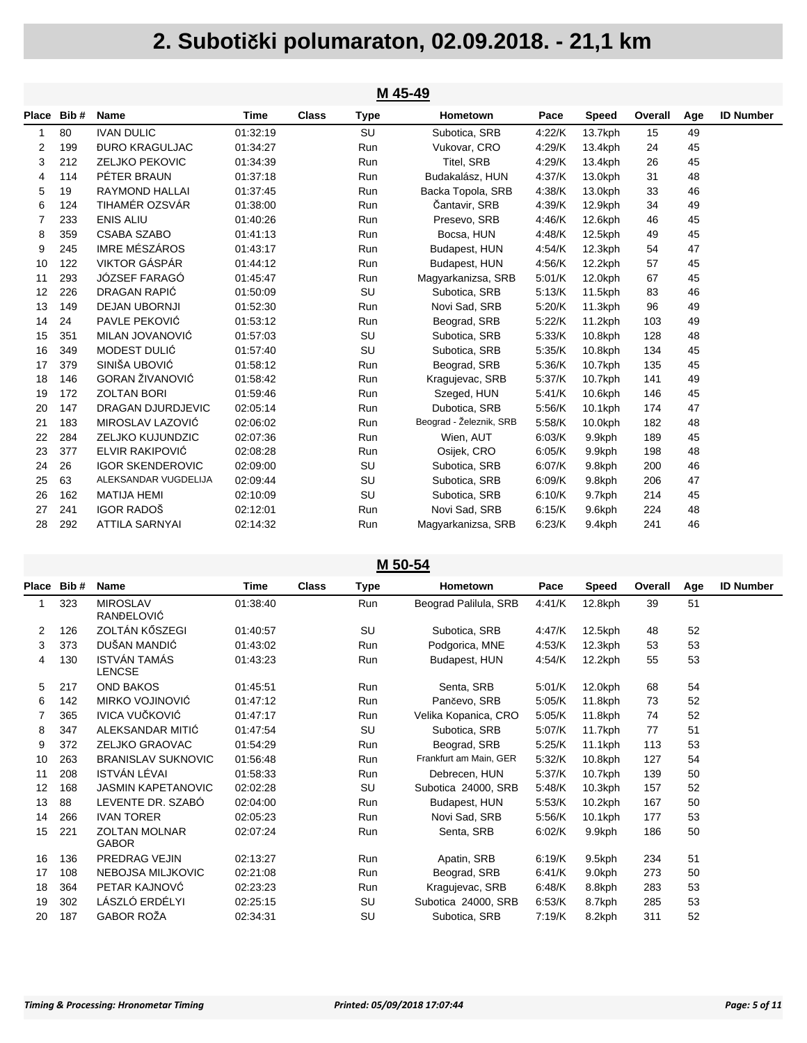|                | M 45-49    |                              |          |              |             |                         |        |              |         |     |                  |  |  |
|----------------|------------|------------------------------|----------|--------------|-------------|-------------------------|--------|--------------|---------|-----|------------------|--|--|
|                | Place Bib# | <b>Name</b>                  | Time     | <b>Class</b> | <b>Type</b> | Hometown                | Pace   | <b>Speed</b> | Overall | Age | <b>ID Number</b> |  |  |
| 1              | 80         | <b>IVAN DULIC</b>            | 01:32:19 |              | SU          | Subotica, SRB           | 4:22/K | 13.7kph      | 15      | 49  |                  |  |  |
| 2              | 199        | <b><i>BURO KRAGULJAC</i></b> | 01:34:27 |              | Run         | Vukovar, CRO            | 4:29/K | 13.4kph      | 24      | 45  |                  |  |  |
| 3              | 212        | <b>ZELJKO PEKOVIC</b>        | 01:34:39 |              | Run         | Titel, SRB              | 4:29/K | 13.4kph      | 26      | 45  |                  |  |  |
| 4              | 114        | PÉTER BRAUN                  | 01:37:18 |              | Run         | Budakalász, HUN         | 4:37/K | 13.0kph      | 31      | 48  |                  |  |  |
| 5              | 19         | RAYMOND HALLAI               | 01:37:45 |              | Run         | Backa Topola, SRB       | 4:38/K | 13.0kph      | 33      | 46  |                  |  |  |
| 6              | 124        | TIHAMÉR OZSVÁR               | 01:38:00 |              | Run         | Čantavir, SRB           | 4:39/K | 12.9kph      | 34      | 49  |                  |  |  |
| $\overline{7}$ | 233        | <b>ENIS ALIU</b>             | 01:40:26 |              | Run         | Presevo, SRB            | 4:46/K | 12.6kph      | 46      | 45  |                  |  |  |
| 8              | 359        | <b>CSABA SZABO</b>           | 01:41:13 |              | Run         | Bocsa, HUN              | 4:48/K | 12.5kph      | 49      | 45  |                  |  |  |
| 9              | 245        | <b>IMRE MÉSZÁROS</b>         | 01:43:17 |              | Run         | Budapest, HUN           | 4:54/K | 12.3kph      | 54      | 47  |                  |  |  |
| 10             | 122        | VIKTOR GÁSPÁR                | 01:44:12 |              | Run         | Budapest, HUN           | 4:56/K | 12.2kph      | 57      | 45  |                  |  |  |
| 11             | 293        | JÓZSEF FARAGÓ                | 01:45:47 |              | Run         | Magyarkanizsa, SRB      | 5.01/K | 12.0kph      | 67      | 45  |                  |  |  |
| 12             | 226        | <b>DRAGAN RAPIĆ</b>          | 01:50:09 |              | SU          | Subotica, SRB           | 5.13/K | 11.5kph      | 83      | 46  |                  |  |  |
| 13             | 149        | <b>DEJAN UBORNJI</b>         | 01:52:30 |              | Run         | Novi Sad, SRB           | 5.20/K | 11.3kph      | 96      | 49  |                  |  |  |
| 14             | 24         | PAVLE PEKOVIĆ                | 01:53:12 |              | Run         | Beograd, SRB            | 5.22/K | 11.2kph      | 103     | 49  |                  |  |  |
| 15             | 351        | MILAN JOVANOVIĆ              | 01:57:03 |              | SU          | Subotica, SRB           | 5.33/K | 10.8kph      | 128     | 48  |                  |  |  |
| 16             | 349        | MODEST DULIĆ                 | 01:57:40 |              | SU          | Subotica, SRB           | 5:35/K | 10.8kph      | 134     | 45  |                  |  |  |
| 17             | 379        | SINIŠA UBOVIĆ                | 01:58:12 |              | Run         | Beograd, SRB            | 5:36/K | 10.7kph      | 135     | 45  |                  |  |  |
| 18             | 146        | <b>GORAN ŽIVANOVIĆ</b>       | 01:58:42 |              | Run         | Kragujevac, SRB         | 5.37/K | 10.7kph      | 141     | 49  |                  |  |  |
| 19             | 172        | <b>ZOLTAN BORI</b>           | 01:59:46 |              | Run         | Szeged, HUN             | 5.41/K | 10.6kph      | 146     | 45  |                  |  |  |
| 20             | 147        | <b>DRAGAN DJURDJEVIC</b>     | 02:05:14 |              | Run         | Dubotica, SRB           | 5.56/K | 10.1kph      | 174     | 47  |                  |  |  |
| 21             | 183        | MIROSLAV LAZOVIĆ             | 02:06:02 |              | Run         | Beograd - Železnik, SRB | 5:58/K | 10.0kph      | 182     | 48  |                  |  |  |
| 22             | 284        | <b>ZELJKO KUJUNDZIC</b>      | 02:07:36 |              | Run         | Wien, AUT               | 6.03/K | 9.9kph       | 189     | 45  |                  |  |  |
| 23             | 377        | ELVIR RAKIPOVIĆ              | 02:08:28 |              | Run         | Osijek, CRO             | 6:05/K | 9.9kph       | 198     | 48  |                  |  |  |
| 24             | 26         | <b>IGOR SKENDEROVIC</b>      | 02:09:00 |              | SU          | Subotica, SRB           | 6.07/K | 9.8kph       | 200     | 46  |                  |  |  |
| 25             | 63         | ALEKSANDAR VUGDELIJA         | 02:09:44 |              | SU          | Subotica, SRB           | 6.09/K | 9.8kph       | 206     | 47  |                  |  |  |
| 26             | 162        | <b>MATIJA HEMI</b>           | 02:10:09 |              | SU          | Subotica, SRB           | 6.10/K | 9.7kph       | 214     | 45  |                  |  |  |
| 27             | 241        | <b>IGOR RADOŠ</b>            | 02:12:01 |              | Run         | Novi Sad, SRB           | 6:15/K | 9.6kph       | 224     | 48  |                  |  |  |
| 28             | 292        | <b>ATTILA SARNYAI</b>        | 02:14:32 |              | Run         | Magyarkanizsa, SRB      | 6.23/K | 9.4kph       | 241     | 46  |                  |  |  |

#### **M 50-54**

| Place | Bib# | Name                                 | Time     | <b>Class</b> | Type | <b>Hometown</b>        | Pace   | Speed      | Overall | Age | <b>ID Number</b> |
|-------|------|--------------------------------------|----------|--------------|------|------------------------|--------|------------|---------|-----|------------------|
| 1     | 323  | <b>MIROSLAV</b><br>RANĐELOVIĆ        | 01:38:40 |              | Run  | Beograd Palilula, SRB  | 4:41/K | 12.8kph    | 39      | 51  |                  |
| 2     | 126  | ZOLTÁN KŐSZEGI                       | 01:40:57 |              | SU   | Subotica, SRB          | 4:47/K | 12.5kph    | 48      | 52  |                  |
| 3     | 373  | DUŠAN MANDIĆ                         | 01:43:02 |              | Run  | Podgorica, MNE         | 4:53/K | $12.3$ kph | 53      | 53  |                  |
| 4     | 130  | <b>ISTVÁN TAMÁS</b><br><b>LENCSE</b> | 01:43:23 |              | Run  | Budapest, HUN          | 4:54/K | $12.2$ kph | 55      | 53  |                  |
| 5     | 217  | <b>OND BAKOS</b>                     | 01:45:51 |              | Run  | Senta, SRB             | 5:01/K | 12.0kph    | 68      | 54  |                  |
| 6     | 142  | MIRKO VOJINOVIĆ                      | 01:47:12 |              | Run  | Pančevo, SRB           | 5:05/K | 11.8kph    | 73      | 52  |                  |
| 7     | 365  | <b>IVICA VUČKOVIĆ</b>                | 01:47:17 |              | Run  | Velika Kopanica, CRO   | 5:05/K | 11.8kph    | 74      | 52  |                  |
| 8     | 347  | ALEKSANDAR MITIĆ                     | 01:47:54 |              | SU   | Subotica, SRB          | 5:07/K | 11.7kph    | 77      | 51  |                  |
| 9     | 372  | ZELJKO GRAOVAC                       | 01:54:29 |              | Run  | Beograd, SRB           | 5:25/K | $11.1$ kph | 113     | 53  |                  |
| 10    | 263  | <b>BRANISLAV SUKNOVIC</b>            | 01:56:48 |              | Run  | Frankfurt am Main, GER | 5:32/K | 10.8kph    | 127     | 54  |                  |
| 11    | 208  | ISTVÁN LÉVAI                         | 01:58:33 |              | Run  | Debrecen, HUN          | 5:37/K | $10.7$ kph | 139     | 50  |                  |
| 12    | 168  | <b>JASMIN KAPETANOVIC</b>            | 02:02:28 |              | SU   | Subotica 24000, SRB    | 5:48/K | $10.3$ kph | 157     | 52  |                  |
| 13    | 88   | LEVENTE DR. SZABÓ                    | 02:04:00 |              | Run  | Budapest, HUN          | 5:53/K | $10.2$ kph | 167     | 50  |                  |
| 14    | 266  | <b>IVAN TORER</b>                    | 02:05:23 |              | Run  | Novi Sad, SRB          | 5:56/K | 10.1kph    | 177     | 53  |                  |
| 15    | 221  | <b>ZOLTAN MOLNAR</b><br><b>GABOR</b> | 02:07:24 |              | Run  | Senta, SRB             | 6:02/K | 9.9kph     | 186     | 50  |                  |
| 16    | 136  | PREDRAG VEJIN                        | 02:13:27 |              | Run  | Apatin, SRB            | 6:19/K | 9.5kph     | 234     | 51  |                  |
| 17    | 108  | NEBOJSA MILJKOVIC                    | 02:21:08 |              | Run  | Beograd, SRB           | 6:41/K | 9.0kph     | 273     | 50  |                  |
| 18    | 364  | PETAR KAJNOVĆ                        | 02:23:23 |              | Run  | Kragujevac, SRB        | 6:48/K | 8.8kph     | 283     | 53  |                  |
| 19    | 302  | LÁSZLÓ ERDÉLYI                       | 02:25:15 |              | SU   | Subotica 24000, SRB    | 6:53/K | 8.7kph     | 285     | 53  |                  |
| 20    | 187  | <b>GABOR ROŽA</b>                    | 02:34:31 |              | SU   | Subotica, SRB          | 7:19/K | 8.2kph     | 311     | 52  |                  |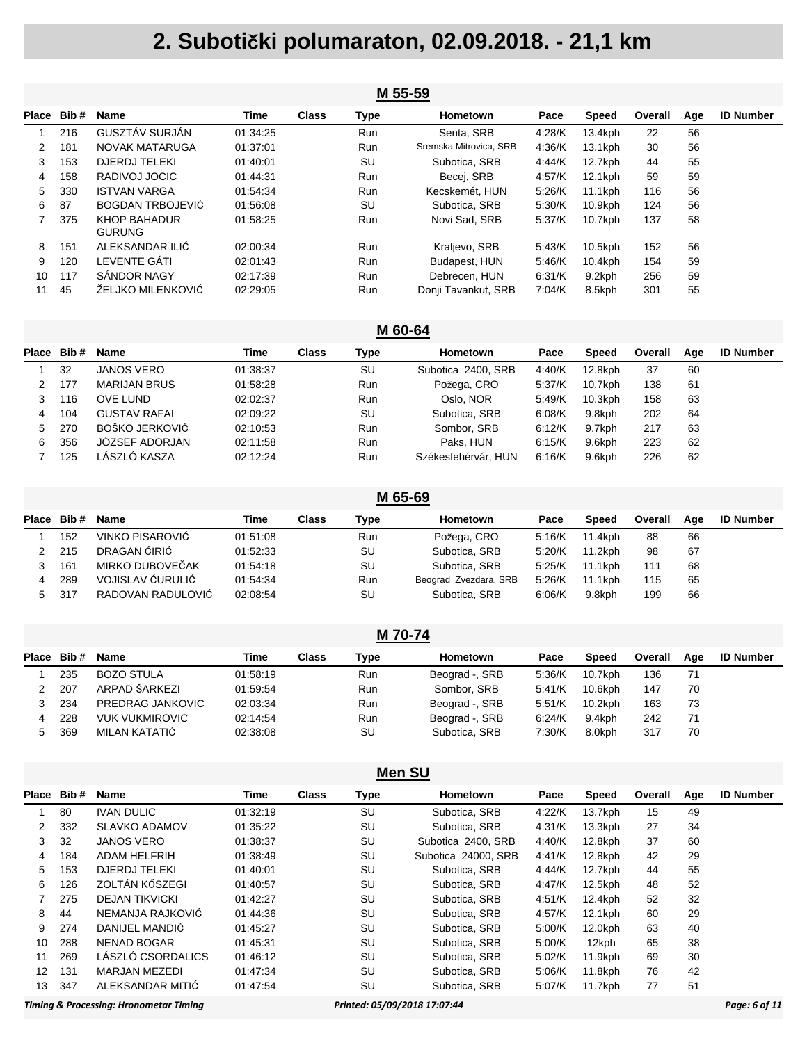|       | M 55-59 |                               |          |              |            |                        |        |              |         |     |                  |  |
|-------|---------|-------------------------------|----------|--------------|------------|------------------------|--------|--------------|---------|-----|------------------|--|
| Place | Bib#    | <b>Name</b>                   | Time     | <b>Class</b> | Type       | Hometown               | Pace   | <b>Speed</b> | Overall | Age | <b>ID Number</b> |  |
|       | 216     | GUSZTÁV SURJÁN                | 01:34:25 |              | <b>Run</b> | Senta, SRB             | 4.28/K | 13.4kph      | 22      | 56  |                  |  |
| 2     | 181     | NOVAK MATARUGA                | 01:37:01 |              | <b>Run</b> | Sremska Mitrovica, SRB | 4:36/K | 13.1kph      | 30      | 56  |                  |  |
| 3     | 153     | <b>DJERDJ TELEKI</b>          | 01:40:01 |              | SU         | Subotica, SRB          | 4:44/K | 12.7kph      | 44      | 55  |                  |  |
| 4     | 158     | RADIVOJ JOCIC                 | 01:44:31 |              | <b>Run</b> | Becei, SRB             | 4:57/K | 12.1kph      | 59      | 59  |                  |  |
| 5     | 330     | <b>ISTVAN VARGA</b>           | 01:54:34 |              | <b>Run</b> | Kecskemét, HUN         | 5:26/K | $11.1$ kph   | 116     | 56  |                  |  |
| 6     | 87      | <b>BOGDAN TRBOJEVIĆ</b>       | 01:56:08 |              | SU         | Subotica, SRB          | 5:30/K | $10.9$ kph   | 124     | 56  |                  |  |
|       | 375     | KHOP BAHADUR<br><b>GURUNG</b> | 01:58:25 |              | <b>Run</b> | Novi Sad, SRB          | 5:37/K | $10.7$ kph   | 137     | 58  |                  |  |
| 8     | 151     | ALEKSANDAR ILIĆ               | 02:00:34 |              | <b>Run</b> | Kraljevo, SRB          | 5:43/K | 10.5kph      | 152     | 56  |                  |  |
| 9     | 120     | LEVENTE GATI                  | 02:01:43 |              | <b>Run</b> | Budapest, HUN          | 5:46/K | 10.4kph      | 154     | 59  |                  |  |
| 10    | 117     | SANDOR NAGY                   | 02:17:39 |              | <b>Run</b> | Debrecen, HUN          | 6:31/K | 9.2kph       | 256     | 59  |                  |  |
| 11    | 45      | ŽELJKO MILENKOVIĆ             | 02:29:05 |              | Run        | Donji Tavankut, SRB    | 7:04/K | 8.5kph       | 301     | 55  |                  |  |

#### **M 60-64**

| Place | Bib# | <b>Name</b>         | Time     | Class | Type       | Hometown            | Pace   | Speed      | Overall | Age | <b>ID Number</b> |
|-------|------|---------------------|----------|-------|------------|---------------------|--------|------------|---------|-----|------------------|
|       | 32   | <b>JANOS VERO</b>   | 01:38:37 |       | SU         | Subotica 2400, SRB  | 4:40/K | 12.8kph    | 37      | 60  |                  |
|       | 177  | <b>MARIJAN BRUS</b> | 01:58:28 |       | <b>Run</b> | Požega, CRO         | 5:37/K | 10.7kph    | 138     | 61  |                  |
|       | 116  | OVE LUND            | 02:02:37 |       | <b>Run</b> | Oslo, NOR           | 5.49/K | $10.3$ kph | 158     | 63  |                  |
| 4     | 104  | <b>GUSTAV RAFAI</b> | 02:09:22 |       | SU         | Subotica, SRB       | 6.08/K | 9.8kph     | 202     | 64  |                  |
| 5     | 270  | BOŠKO JERKOVIĆ      | 02:10:53 |       | <b>Run</b> | Sombor, SRB         | 6:12/K | 9.7kph     | 217     | 63  |                  |
| 6.    | 356  | JÓZSEF ADORJÁN      | 02:11:58 |       | Run        | Paks, HUN           | 6:15/K | 9.6kph     | 223     | 62  |                  |
|       | 125  | LÁSZLÓ KASZA        | 02:12:24 |       | <b>Run</b> | Székesfehérvár. HUN | 6:16/K | 9.6kph     | 226     | 62  |                  |

|            | M 65-69 |                   |          |              |      |                       |        |              |         |     |                  |  |  |  |
|------------|---------|-------------------|----------|--------------|------|-----------------------|--------|--------------|---------|-----|------------------|--|--|--|
| Place Bib# |         | <b>Name</b>       | Time     | <b>Class</b> | Type | Hometown              | Pace   | <b>Speed</b> | Overall | Aae | <b>ID Number</b> |  |  |  |
|            | 152     | VINKO PISAROVIĆ   | 01:51:08 |              | Run  | Požega, CRO           | 5:16/K | 11.4kph      | 88      | 66  |                  |  |  |  |
|            | 215     | DRAGAN ĆIRIĆ      | 01:52:33 |              | SU   | Subotica, SRB         | 5:20/K | 11.2kph      | 98      | 67  |                  |  |  |  |
|            | 161     | MIRKO DUBOVEČAK   | 01:54:18 |              | SU   | Subotica, SRB         | 5:25/K | 11.1kph      | 111     | 68  |                  |  |  |  |
| 4          | 289     | VOJISLAV ĆURULIĆ  | 01:54:34 |              | Run  | Beograd Zvezdara, SRB | 5.26/K | 11.1kph      | 115     | 65  |                  |  |  |  |
| 5          | 317     | RADOVAN RADULOVIĆ | 02:08:54 |              | SU   | Subotica, SRB         | 6.06/K | 9.8kph       | 199     | 66  |                  |  |  |  |

| M 70-74       |       |                       |          |       |            |                 |        |            |         |     |                  |  |
|---------------|-------|-----------------------|----------|-------|------------|-----------------|--------|------------|---------|-----|------------------|--|
| Place         | Bib # | <b>Name</b>           | Time     | Class | Type       | <b>Hometown</b> | Pace   | Speed      | Overall | Age | <b>ID Number</b> |  |
|               | 235   | <b>BOZO STULA</b>     | 01:58:19 |       | <b>Run</b> | Beograd -, SRB  | 5:36/K | 10.7kph    | 136     | 71  |                  |  |
| $\mathcal{P}$ | 207   | ARPAD ŠARKEZI         | 01:59:54 |       | <b>Run</b> | Sombor, SRB     | 5:41/K | 10.6kph    | 147     | 70  |                  |  |
|               | 234   | PREDRAG JANKOVIC      | 02:03:34 |       | <b>Run</b> | Beograd -, SRB  | 5:51/K | $10.2$ kph | 163     | 73  |                  |  |
| 4             | 228   | <b>VUK VUKMIROVIC</b> | 02:14:54 |       | <b>Run</b> | Beograd -, SRB  | 6:24/K | 9.4kph     | 242     | 71  |                  |  |
| 5.            | 369   | MILAN KATATIĆ         | 02:38:08 |       | SU         | Subotica, SRB   | 7:30/K | 8.0kph     | 317     | 70  |                  |  |

|       | <b>Men SU</b> |                       |          |              |      |                     |        |              |         |     |                  |  |  |
|-------|---------------|-----------------------|----------|--------------|------|---------------------|--------|--------------|---------|-----|------------------|--|--|
| Place | Bib#          | <b>Name</b>           | Time     | <b>Class</b> | Type | Hometown            | Pace   | <b>Speed</b> | Overall | Age | <b>ID Number</b> |  |  |
|       | 80            | <b>IVAN DULIC</b>     | 01:32:19 |              | SU   | Subotica, SRB       | 4:22/K | 13.7kph      | 15      | 49  |                  |  |  |
| 2     | 332           | <b>SLAVKO ADAMOV</b>  | 01:35:22 |              | SU   | Subotica, SRB       | 4:31/K | $13.3$ kph   | 27      | 34  |                  |  |  |
| 3     | 32            | <b>JANOS VERO</b>     | 01:38:37 |              | SU   | Subotica 2400, SRB  | 4:40/K | 12.8kph      | 37      | 60  |                  |  |  |
| 4     | 184           | ADAM HELFRIH          | 01:38:49 |              | SU   | Subotica 24000, SRB | 4:41/K | 12.8kph      | 42      | 29  |                  |  |  |
| 5     | 153           | <b>DJERDJ TELEKI</b>  | 01:40:01 |              | SU   | Subotica, SRB       | 4:44/K | 12.7kph      | 44      | 55  |                  |  |  |
| 6     | 126           | ZOLTÁN KŐSZEGI        | 01:40:57 |              | SU   | Subotica, SRB       | 4:47/K | 12.5kph      | 48      | 52  |                  |  |  |
|       | 275           | <b>DEJAN TIKVICKI</b> | 01:42:27 |              | SU   | Subotica, SRB       | 4.51/K | 12.4kph      | 52      | 32  |                  |  |  |
| 8     | 44            | NEMANJA RAJKOVIĆ      | 01:44:36 |              | SU   | Subotica, SRB       | 4:57/K | 12.1kph      | 60      | 29  |                  |  |  |
| 9     | 274           | DANIJEL MANDIĆ        | 01:45:27 |              | SU   | Subotica, SRB       | 5:00/K | 12.0kph      | 63      | 40  |                  |  |  |
| 10    | 288           | <b>NENAD BOGAR</b>    | 01:45:31 |              | SU   | Subotica, SRB       | 5:00/K | 12kph        | 65      | 38  |                  |  |  |
| 11    | 269           | LÁSZLÓ CSORDALICS     | 01:46:12 |              | SU   | Subotica, SRB       | 5:02/K | 11.9kph      | 69      | 30  |                  |  |  |
| 12    | 131           | <b>MARJAN MEZEDI</b>  | 01:47:34 |              | SU   | Subotica, SRB       | 5:06/K | 11.8kph      | 76      | 42  |                  |  |  |
| 13    | 347           | ALEKSANDAR MITIĆ      | 01:47:54 |              | SU   | Subotica, SRB       | 5:07/K | 11.7kph      | 77      | 51  |                  |  |  |
|       |               |                       |          |              |      |                     |        |              |         |     |                  |  |  |

*Timing & Processing: Hronometar Timing Printed: 05/09/2018 17:07:44 Page: 6 of 11*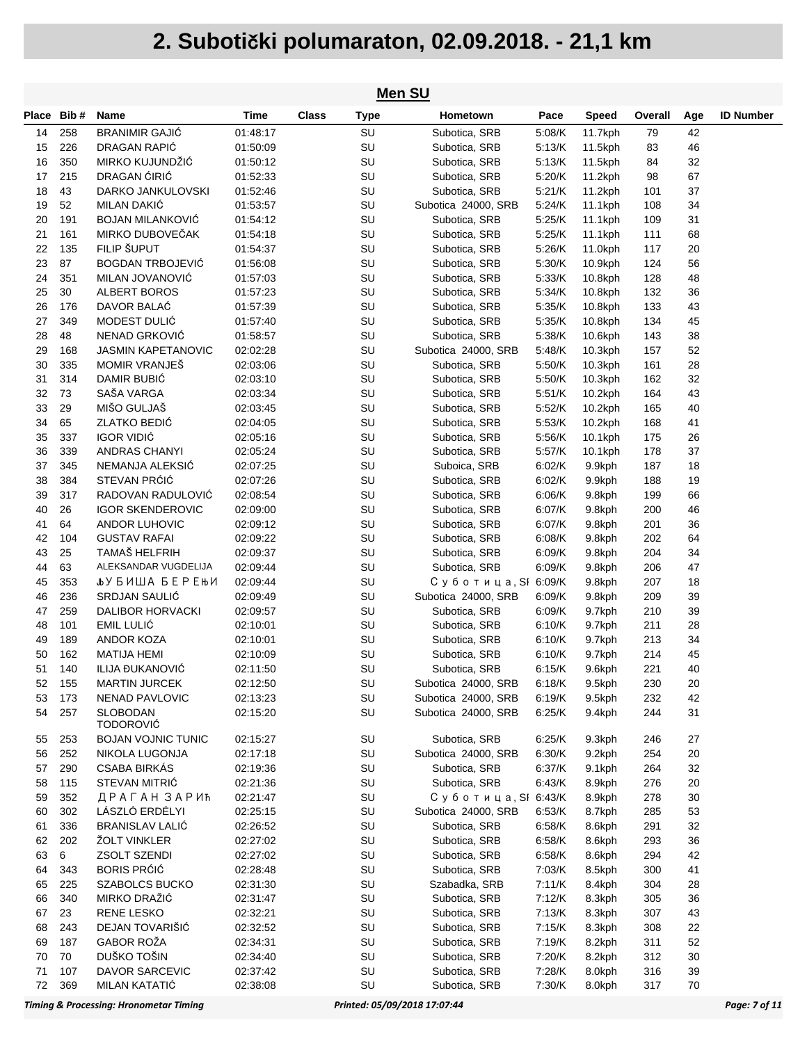| Men SU     |         |                           |             |              |             |                     |        |              |         |     |                  |
|------------|---------|---------------------------|-------------|--------------|-------------|---------------------|--------|--------------|---------|-----|------------------|
| Place Bib# |         | <b>Name</b>               | <b>Time</b> | <b>Class</b> | <b>Type</b> | Hometown            | Pace   | <b>Speed</b> | Overall | Age | <b>ID Number</b> |
| 14         | 258     | <b>BRANIMIR GAJIĆ</b>     | 01:48:17    |              | SU          | Subotica, SRB       | 5:08/K | 11.7kph      | 79      | 42  |                  |
| 15         | 226     | DRAGAN RAPIĆ              | 01:50:09    |              | SU          | Subotica, SRB       | 5:13/K | 11.5kph      | 83      | 46  |                  |
| 16         | 350     | MIRKO KUJUNDŽIĆ           | 01:50:12    |              | SU          | Subotica, SRB       | 5:13/K | 11.5kph      | 84      | 32  |                  |
| 17         | 215     | DRAGAN CIRIC              | 01:52:33    |              | SU          | Subotica, SRB       | 5:20/K | 11.2kph      | 98      | 67  |                  |
| 18         | 43      | DARKO JANKULOVSKI         | 01:52:46    |              | SU          | Subotica, SRB       | 5:21/K | 11.2kph      | 101     | 37  |                  |
| 19         | 52      | MILAN DAKIĆ               | 01:53:57    |              | SU          | Subotica 24000, SRB | 5:24/K | 11.1kph      | 108     | 34  |                  |
| 20         | 191     | <b>BOJAN MILANKOVIĆ</b>   | 01:54:12    |              | SU          | Subotica, SRB       | 5:25/K | 11.1kph      | 109     | 31  |                  |
| 21         | 161     | MIRKO DUBOVEČAK           | 01:54:18    |              | SU          | Subotica, SRB       | 5:25/K | 11.1kph      | 111     | 68  |                  |
| 22         | 135     | FILIP ŠUPUT               | 01:54:37    |              | SU          | Subotica, SRB       | 5:26/K | 11.0kph      | 117     | 20  |                  |
| 23         | 87      | <b>BOGDAN TRBOJEVIĆ</b>   | 01:56:08    |              | SU          | Subotica, SRB       | 5:30/K | 10.9kph      | 124     | 56  |                  |
| 24         | 351     | MILAN JOVANOVIĆ           | 01:57:03    |              | SU          | Subotica, SRB       | 5:33/K | 10.8kph      | 128     | 48  |                  |
| 25         | 30      | <b>ALBERT BOROS</b>       | 01:57:23    |              | SU          | Subotica, SRB       | 5:34/K | 10.8kph      | 132     | 36  |                  |
| 26         | 176     | DAVOR BALAĆ               | 01:57:39    |              | SU          | Subotica, SRB       | 5:35/K | 10.8kph      | 133     | 43  |                  |
| 27         | 349     | MODEST DULIĆ              | 01:57:40    |              | SU          | Subotica, SRB       | 5:35/K | 10.8kph      | 134     | 45  |                  |
| 28         | 48      | NENAD GRKOVIĆ             | 01:58:57    |              | SU          | Subotica, SRB       | 5:38/K | 10.6kph      | 143     | 38  |                  |
| 29         | 168     | <b>JASMIN KAPETANOVIC</b> | 02:02:28    |              | SU          | Subotica 24000, SRB | 5:48/K | 10.3kph      | 157     | 52  |                  |
| 30         | 335     | <b>MOMIR VRANJEŠ</b>      | 02:03:06    |              | SU          | Subotica, SRB       | 5:50/K | 10.3kph      | 161     | 28  |                  |
| 31         | 314     | DAMIR BUBIĆ               | 02:03:10    |              | SU          | Subotica, SRB       | 5:50/K | 10.3kph      | 162     | 32  |                  |
| 32         | 73      | SAŠA VARGA                | 02:03:34    |              | SU          | Subotica, SRB       | 5:51/K | 10.2kph      | 164     | 43  |                  |
| 33         | 29      | MIŠO GULJAŠ               | 02:03:45    |              | SU          | Subotica, SRB       | 5:52/K | 10.2kph      | 165     | 40  |                  |
| 34         | 65      | <b>ZLATKO BEDIĆ</b>       | 02:04:05    |              | SU          | Subotica, SRB       | 5:53/K | 10.2kph      | 168     | 41  |                  |
| 35         | 337     | <b>IGOR VIDIĆ</b>         | 02:05:16    |              | SU          | Subotica, SRB       | 5:56/K | 10.1kph      | 175     | 26  |                  |
| 36         | 339     | <b>ANDRAS CHANYI</b>      | 02:05:24    |              | SU          | Subotica, SRB       | 5:57/K | 10.1kph      | 178     | 37  |                  |
| 37         | 345     | NEMANJA ALEKSIC           | 02:07:25    |              | SU          | Suboica, SRB        | 6.02/K | 9.9kph       | 187     | 18  |                  |
| 38         | 384     | STEVAN PRÓIÓ              | 02:07:26    |              | SU          | Subotica, SRB       | 6.02/K | 9.9kph       | 188     | 19  |                  |
| 39         | 317     | RADOVAN RADULOVIĆ         | 02:08:54    |              | SU          | Subotica, SRB       | 6.06/K | 9.8kph       | 199     | 66  |                  |
| 40         | 26      | <b>IGOR SKENDEROVIC</b>   | 02:09:00    |              | SU          | Subotica, SRB       | 6:07/K | 9.8kph       | 200     | 46  |                  |
| 41         | 64      | ANDOR LUHOVIC             | 02:09:12    |              | SU          | Subotica, SRB       | 6.07/K | 9.8kph       | 201     | 36  |                  |
| 42         | 104     | <b>GUSTAV RAFAI</b>       | 02:09:22    |              | SU          | Subotica, SRB       | 6.08/K | 9.8kph       | 202     | 64  |                  |
| 43         | 25      | TAMAŠ HELFRIH             | 02:09:37    |              | SU          | Subotica, SRB       | 6:09/K | 9.8kph       | 204     | 34  |                  |
| 44         | 63      | ALEKSANDAR VUGDELIJA      | 02:09:44    |              | SU          | Subotica, SRB       | 6.09/K | 9.8kph       | 206     | 47  |                  |
| 45         | 353     | <b>Jb</b> У БИША БЕРЕЊИ   | 02:09:44    |              | SU          | Суботица, SI 6:09/K |        | 9.8kph       | 207     | 18  |                  |
| 46         | 236     | SRDJAN SAULIĆ             | 02:09:49    |              | SU          | Subotica 24000, SRB | 6.09/K | 9.8kph       | 209     | 39  |                  |
| 47         | 259     | <b>DALIBOR HORVACKI</b>   | 02:09:57    |              | SU          | Subotica, SRB       | 6.09/K | 9.7kph       | 210     | 39  |                  |
| 48         | 101     | EMIL LULIĆ                | 02:10:01    |              | SU          | Subotica, SRB       | 6.10/K | 9.7kph       | 211     | 28  |                  |
| 49         | 189     | ANDOR KOZA                | 02:10:01    |              | SU          | Subotica, SRB       | 6.10/K | 9.7kph       | 213     | 34  |                  |
| 50         | 162     | <b>MATIJA HEMI</b>        | 02:10:09    |              | SU          | Subotica, SRB       | 6.10/K | 9.7kph       | 214     | 45  |                  |
| 51         | 140     | ILIJA ĐUKANOVIĆ           | 02:11:50    |              | SU          | Subotica, SRB       | 6.15/K | 9.6kph       | 221     | 40  |                  |
| 52         | 155     | <b>MARTIN JURCEK</b>      | 02:12:50    |              | SU          | Subotica 24000, SRB | 6:18/K | 9.5kph       | 230     | 20  |                  |
| 53         | 173     | NENAD PAVLOVIC            | 02:13:23    |              | SU          | Subotica 24000, SRB | 6:19/K | 9.5kph       | 232     | 42  |                  |
| 54         | 257     | <b>SLOBODAN</b>           | 02:15:20    |              | SU          | Subotica 24000, SRB | 6:25/K | 9.4kph       | 244     | 31  |                  |
|            |         | <b>TODOROVIĆ</b>          |             |              |             |                     |        |              |         |     |                  |
| 55         | 253     | <b>BOJAN VOJNIC TUNIC</b> | 02:15:27    |              | SU          | Subotica, SRB       | 6:25/K | 9.3kph       | 246     | 27  |                  |
| 56         | 252     | NIKOLA LUGONJA            | 02:17:18    |              | SU          | Subotica 24000, SRB | 6:30/K | 9.2kph       | 254     | 20  |                  |
| 57         | 290     | <b>CSABA BIRKAS</b>       | 02:19:36    |              | SU          | Subotica, SRB       | 6:37/K | 9.1kph       | 264     | 32  |                  |
| 58         | 115     | STEVAN MITRIĆ             | 02:21:36    |              | SU          | Subotica, SRB       | 6.43/K | 8.9kph       | 276     | 20  |                  |
| 59         | 352     | ДРАГАН ЗАРИЋ              | 02:21:47    |              | SU          | Суботица, SI 6:43/K |        | 8.9kph       | 278     | 30  |                  |
| 60         | 302     | LÁSZLÓ ERDÉLYI            | 02:25:15    |              | SU          | Subotica 24000, SRB | 6.53/K | 8.7kph       | 285     | 53  |                  |
| 61         | 336     | <b>BRANISLAV LALIĆ</b>    | 02:26:52    |              | SU          | Subotica, SRB       | 6:58/K | 8.6kph       | 291     | 32  |                  |
| 62         | 202     | ŽOLT VINKLER              | 02:27:02    |              | SU          | Subotica, SRB       | 6:58/K | 8.6kph       | 293     | 36  |                  |
| 63         | $\,6\,$ | ZSOLT SZENDI              | 02:27:02    |              | SU          | Subotica, SRB       | 6:58/K | 8.6kph       | 294     | 42  |                  |
| 64         | 343     | <b>BORIS PRÓIÓ</b>        | 02:28:48    |              | SU          | Subotica, SRB       | 7:03/K | 8.5kph       | 300     | 41  |                  |
| 65         | 225     | SZABOLCS BUCKO            | 02:31:30    |              | SU          | Szabadka, SRB       | 7:11/K | 8.4kph       | 304     | 28  |                  |
| 66         | 340     | MIRKO DRAŽIĆ              | 02:31:47    |              | SU          | Subotica, SRB       | 7:12/K | 8.3kph       | 305     | 36  |                  |
| 67         | 23      | <b>RENE LESKO</b>         | 02:32:21    |              | SU          | Subotica, SRB       | 7:13/K | 8.3kph       | 307     | 43  |                  |
| 68         | 243     | DEJAN TOVARIŠIĆ           | 02:32:52    |              | SU          | Subotica, SRB       | 7:15/K | 8.3kph       | 308     | 22  |                  |
| 69         | 187     | GABOR ROŽA                | 02:34:31    |              | SU          | Subotica, SRB       | 7:19/K | 8.2kph       | 311     | 52  |                  |
| 70         | 70      | DUŠKO TOŠIN               | 02:34:40    |              | SU          | Subotica, SRB       | 7:20/K | 8.2kph       | 312     | 30  |                  |
| 71         | 107     | DAVOR SARCEVIC            | 02:37:42    |              | SU          | Subotica, SRB       | 7:28/K | 8.0kph       | 316     | 39  |                  |
| 72         | 369     | MILAN KATATIĆ             | 02:38:08    |              | SU          | Subotica, SRB       | 7:30/K | 8.0kph       | 317     | 70  |                  |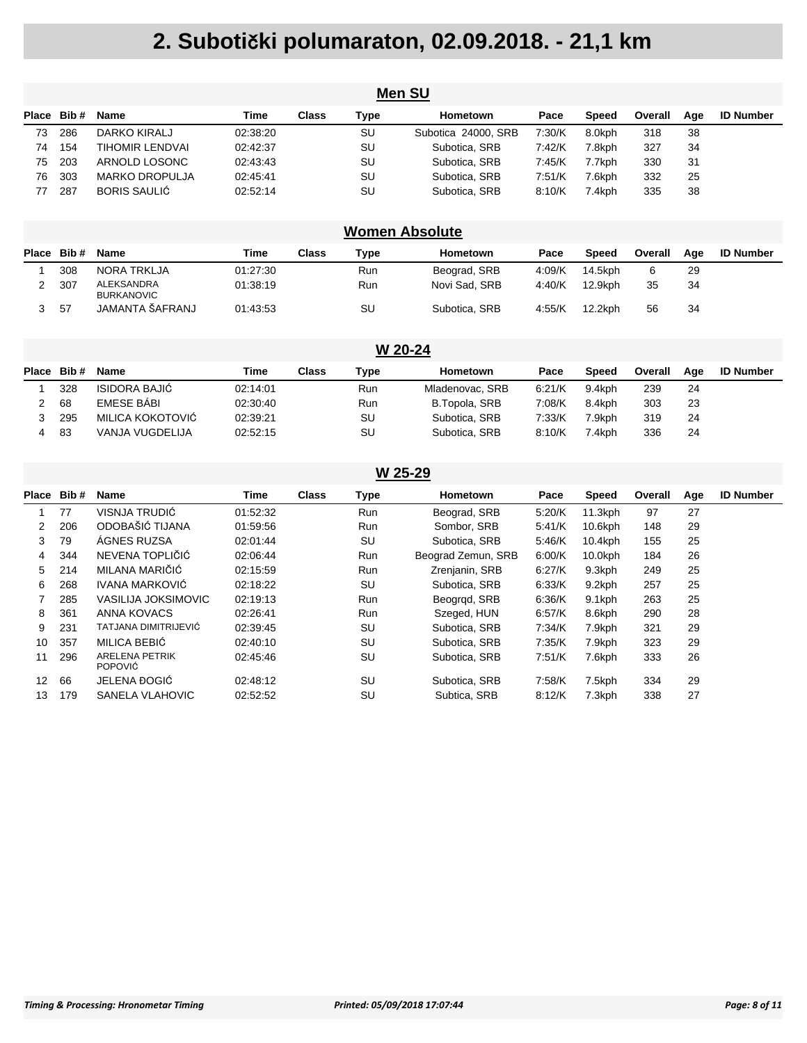| <b>Men SU</b> |     |                       |          |       |      |                     |        |        |         |     |                  |  |
|---------------|-----|-----------------------|----------|-------|------|---------------------|--------|--------|---------|-----|------------------|--|
| Place Bib#    |     | Name                  | Time     | Class | Type | Hometown            | Pace   | Speed  | Overall | Aae | <b>ID Number</b> |  |
| 73            | 286 | DARKO KIRALJ          | 02:38:20 |       | SU   | Subotica 24000, SRB | 7:30/K | 8.0kph | 318     | 38  |                  |  |
| 74            | 154 | TIHOMIR LENDVAI       | 02:42:37 |       | SU   | Subotica, SRB       | 7:42/K | 7.8kph | 327     | 34  |                  |  |
| 75            | 203 | ARNOLD LOSONC         | 02:43:43 |       | SU   | Subotica, SRB       | 7:45/K | 7.7kph | 330     | 31  |                  |  |
| 76            | 303 | <b>MARKO DROPULJA</b> | 02:45:41 |       | SU   | Subotica, SRB       | 7:51/K | 7.6kph | 332     | 25  |                  |  |
| 77            | 287 | BORIS SAULIĆ          | 02:52:14 |       | SU   | Subotica, SRB       | 8:10/K | 7.4kph | 335     | 38  |                  |  |

#### **Women Absolute**

| <b>Place</b> | Bib# | <b>Name</b>                     | Time     | Class | Type | Hometown      | Pace   | <b>Speed</b> | Overall | Aae | <b>ID Number</b> |
|--------------|------|---------------------------------|----------|-------|------|---------------|--------|--------------|---------|-----|------------------|
|              | 308  | NORA TRKLJA                     | 01:27:30 |       | Run  | Beograd, SRB  | 4:09/K | 14.5kph      |         | 29  |                  |
|              | 307  | ALEKSANDRA<br><b>BURKANOVIC</b> | 01:38:19 |       | Run  | Novi Sad, SRB | 4:40/K | 12.9kph      | 35      | 34  |                  |
|              | -57  | JAMANTA ŠAFRANJ                 | 01:43:53 |       | SU   | Subotica, SRB | 4:55/K | 12.2kph      | 56      | 34  |                  |

|   | W 20-24    |                      |          |              |      |                 |        |              |         |     |                  |  |  |  |
|---|------------|----------------------|----------|--------------|------|-----------------|--------|--------------|---------|-----|------------------|--|--|--|
|   | Place Bib# | Name                 | Time     | <b>Class</b> | Type | Hometown        | Pace   | <b>Speed</b> | Overall | Aae | <b>ID Number</b> |  |  |  |
|   | 328        | <b>ISIDORA BAJIĆ</b> | 02:14:01 |              | Run  | Mladenovac, SRB | 6:21/K | 9.4kph       | 239     | 24  |                  |  |  |  |
|   | 68         | <b>EMESE BABI</b>    | 02:30:40 |              | Run  | B.Topola, SRB   | 7:08/K | 8.4kph       | 303     | 23  |                  |  |  |  |
|   | 295        | MILICA KOKOTOVIĆ     | 02:39:21 |              | SU   | Subotica, SRB   | 7:33/K | 7.9kph       | 319     | 24  |                  |  |  |  |
| 4 | 83         | VANJA VUGDELIJA      | 02:52:15 |              | SU   | Subotica, SRB   | 8:10/K | 7.4kph       | 336     | 24  |                  |  |  |  |

|             | W 25-29 |                                         |          |              |            |                    |        |              |         |     |                  |  |  |
|-------------|---------|-----------------------------------------|----------|--------------|------------|--------------------|--------|--------------|---------|-----|------------------|--|--|
| Place Bib # |         | <b>Name</b>                             | Time     | <b>Class</b> | Type       | Hometown           | Pace   | <b>Speed</b> | Overall | Age | <b>ID Number</b> |  |  |
|             | 77      | VISNJA TRUDIĆ                           | 01:52:32 |              | <b>Run</b> | Beograd, SRB       | 5:20/K | $11.3$ kph   | 97      | 27  |                  |  |  |
| 2           | 206     | ODOBAŠIĆ TIJANA                         | 01:59:56 |              | Run        | Sombor, SRB        | 5:41/K | 10.6kph      | 148     | 29  |                  |  |  |
| 3           | 79      | ÁGNES RUZSA                             | 02:01:44 |              | SU         | Subotica, SRB      | 5:46/K | 10.4kph      | 155     | 25  |                  |  |  |
| 4           | 344     | NEVENA TOPLIČIĆ                         | 02:06:44 |              | Run        | Beograd Zemun, SRB | 6:00/K | $10.0$ kph   | 184     | 26  |                  |  |  |
| 5           | 214     | MILANA MARIČIĆ                          | 02:15:59 |              | Run        | Zrenjanin, SRB     | 6:27/K | 9.3kph       | 249     | 25  |                  |  |  |
| 6           | 268     | IVANA MARKOVIĆ                          | 02:18:22 |              | SU         | Subotica, SRB      | 6:33/K | 9.2kph       | 257     | 25  |                  |  |  |
|             | 285     | VASILIJA JOKSIMOVIC                     | 02:19:13 |              | Run        | Beograd, SRB       | 6.36/K | 9.1kph       | 263     | 25  |                  |  |  |
| 8           | 361     | ANNA KOVACS                             | 02:26:41 |              | Run        | Szeged, HUN        | 6:57/K | 8.6kph       | 290     | 28  |                  |  |  |
| 9           | 231     | TATJANA DIMITRIJEVIĆ                    | 02:39:45 |              | SU         | Subotica. SRB      | 7:34/K | 7.9kph       | 321     | 29  |                  |  |  |
| 10          | 357     | MILICA BEBIĆ                            | 02:40:10 |              | SU         | Subotica, SRB      | 7:35/K | 7.9kph       | 323     | 29  |                  |  |  |
| 11          | 296     | <b>ARELENA PETRIK</b><br><b>POPOVIĆ</b> | 02:45:46 |              | SU         | Subotica, SRB      | 7:51/K | 7.6kph       | 333     | 26  |                  |  |  |
| 12          | 66      | JELENA ĐOGIĆ                            | 02:48:12 |              | SU         | Subotica, SRB      | 7:58/K | 7.5kph       | 334     | 29  |                  |  |  |
| 13          | 179     | SANELA VLAHOVIC                         | 02:52:52 |              | SU         | Subtica, SRB       | 8:12/K | 7.3kph       | 338     | 27  |                  |  |  |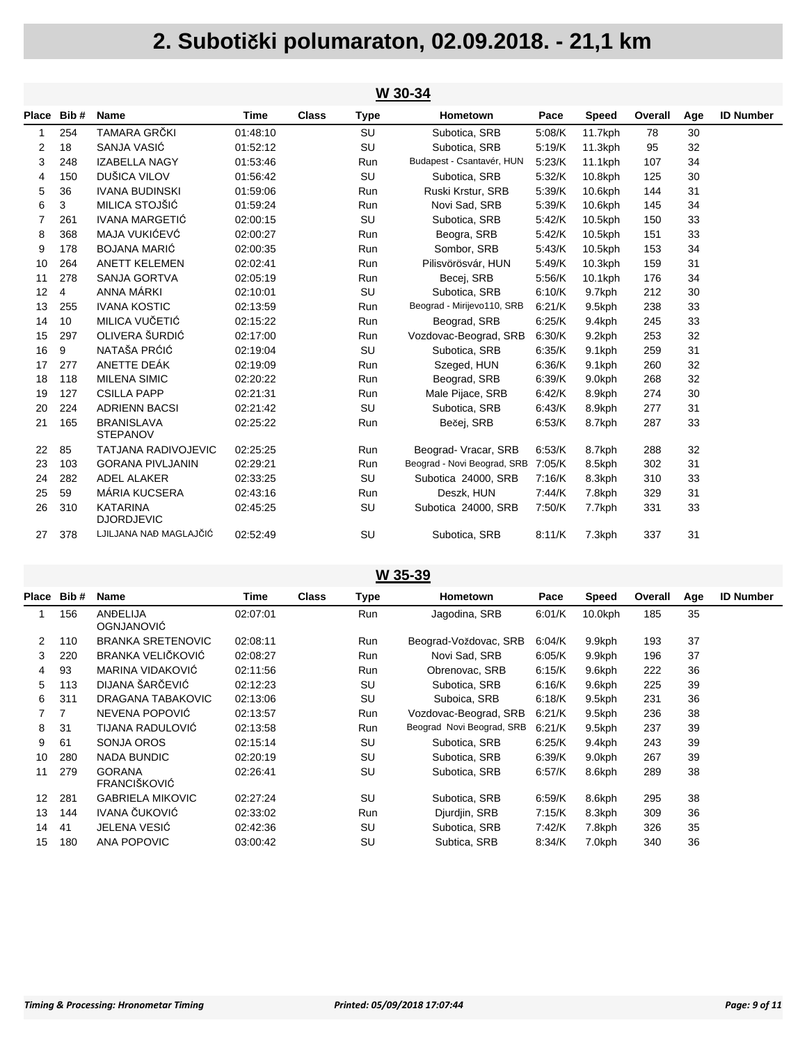|    | W 30-34    |                                      |          |              |             |                             |        |              |         |     |                  |  |  |
|----|------------|--------------------------------------|----------|--------------|-------------|-----------------------------|--------|--------------|---------|-----|------------------|--|--|
|    | Place Bib# | <b>Name</b>                          | Time     | <b>Class</b> | <b>Type</b> | Hometown                    | Pace   | <b>Speed</b> | Overall | Age | <b>ID Number</b> |  |  |
| -1 | 254        | TAMARA GRČKI                         | 01:48:10 |              | SU          | Subotica, SRB               | 5:08/K | 11.7kph      | 78      | 30  |                  |  |  |
| 2  | 18         | SANJA VASIĆ                          | 01:52:12 |              | SU          | Subotica, SRB               | 5:19/K | 11.3kph      | 95      | 32  |                  |  |  |
| 3  | 248        | <b>IZABELLA NAGY</b>                 | 01:53:46 |              | Run         | Budapest - Csantavér, HUN   | 5.23/K | 11.1kph      | 107     | 34  |                  |  |  |
| 4  | 150        | DUŠICA VILOV                         | 01:56:42 |              | SU          | Subotica, SRB               | 5.32/K | 10.8kph      | 125     | 30  |                  |  |  |
| 5  | 36         | <b>IVANA BUDINSKI</b>                | 01:59:06 |              | Run         | Ruski Krstur, SRB           | 5.39/K | 10.6kph      | 144     | 31  |                  |  |  |
| 6  | 3          | MILICA STOJŠIĆ                       | 01:59:24 |              | Run         | Novi Sad, SRB               | 5.39/K | 10.6kph      | 145     | 34  |                  |  |  |
| 7  | 261        | <b>IVANA MARGETIĆ</b>                | 02:00:15 |              | SU          | Subotica, SRB               | 5.42/K | 10.5kph      | 150     | 33  |                  |  |  |
| 8  | 368        | MAJA VUKIĆEVĆ                        | 02:00:27 |              | Run         | Beogra, SRB                 | 5:42/K | 10.5kph      | 151     | 33  |                  |  |  |
| 9  | 178        | <b>BOJANA MARIĆ</b>                  | 02:00:35 |              | Run         | Sombor, SRB                 | 5.43/K | 10.5kph      | 153     | 34  |                  |  |  |
| 10 | 264        | <b>ANETT KELEMEN</b>                 | 02:02:41 |              | Run         | Pilisvörösvár, HUN          | 5.49/K | $10.3$ kph   | 159     | 31  |                  |  |  |
| 11 | 278        | <b>SANJA GORTVA</b>                  | 02:05:19 |              | Run         | Becej, SRB                  | 5:56/K | 10.1kph      | 176     | 34  |                  |  |  |
| 12 | 4          | ANNA MÁRKI                           | 02:10:01 |              | SU          | Subotica, SRB               | 6:10/K | 9.7kph       | 212     | 30  |                  |  |  |
| 13 | 255        | <b>IVANA KOSTIC</b>                  | 02:13:59 |              | Run         | Beograd - Mirijevo110, SRB  | 6:21/K | 9.5kph       | 238     | 33  |                  |  |  |
| 14 | 10         | MILICA VUČETIĆ                       | 02:15:22 |              | Run         | Beograd, SRB                | 6.25/K | 9.4kph       | 245     | 33  |                  |  |  |
| 15 | 297        | OLIVERA ŠURDIĆ                       | 02:17:00 |              | Run         | Vozdovac-Beograd, SRB       | 6:30/K | 9.2kph       | 253     | 32  |                  |  |  |
| 16 | 9          | NATAŠA PRĆIĆ                         | 02:19:04 |              | SU          | Subotica, SRB               | 6:35/K | 9.1kph       | 259     | 31  |                  |  |  |
| 17 | 277        | ANETTE DEÁK                          | 02:19:09 |              | Run         | Szeged, HUN                 | 6:36/K | 9.1kph       | 260     | 32  |                  |  |  |
| 18 | 118        | <b>MILENA SIMIC</b>                  | 02:20:22 |              | Run         | Beograd, SRB                | 6:39/K | 9.0kph       | 268     | 32  |                  |  |  |
| 19 | 127        | <b>CSILLA PAPP</b>                   | 02:21:31 |              | Run         | Male Pijace, SRB            | 6.42/K | 8.9kph       | 274     | 30  |                  |  |  |
| 20 | 224        | <b>ADRIENN BACSI</b>                 | 02:21:42 |              | SU          | Subotica, SRB               | 6:43/K | 8.9kph       | 277     | 31  |                  |  |  |
| 21 | 165        | <b>BRANISLAVA</b><br><b>STEPANOV</b> | 02:25:22 |              | Run         | Bečei, SRB                  | 6:53/K | 8.7kph       | 287     | 33  |                  |  |  |
| 22 | 85         | <b>TATJANA RADIVOJEVIC</b>           | 02:25:25 |              | Run         | Beograd-Vracar, SRB         | 6:53/K | 8.7kph       | 288     | 32  |                  |  |  |
| 23 | 103        | <b>GORANA PIVLJANIN</b>              | 02:29:21 |              | Run         | Beograd - Novi Beograd, SRB | 7:05/K | 8.5kph       | 302     | 31  |                  |  |  |
| 24 | 282        | ADEL ALAKER                          | 02:33:25 |              | SU          | Subotica 24000, SRB         | 7:16/K | 8.3kph       | 310     | 33  |                  |  |  |
| 25 | 59         | MÁRIA KUCSERA                        | 02:43:16 |              | Run         | Deszk, HUN                  | 7:44/K | 7.8kph       | 329     | 31  |                  |  |  |
| 26 | 310        | <b>KATARINA</b><br><b>DJORDJEVIC</b> | 02:45:25 |              | SU          | Subotica 24000, SRB         | 7:50/K | 7.7kph       | 331     | 33  |                  |  |  |
| 27 | 378        | LJILJANA NAĐ MAGLAJČIĆ               | 02:52:49 |              | SU          | Subotica, SRB               | 8:11/K | 7.3kph       | 337     | 31  |                  |  |  |

#### **W 35-39**

| Place | Bib#           | Name                                 | Time     | <b>Class</b> | Type       | Hometown                  | Pace   | <b>Speed</b> | Overall | Age | <b>ID Number</b> |
|-------|----------------|--------------------------------------|----------|--------------|------------|---------------------------|--------|--------------|---------|-----|------------------|
|       | 156            | ANDELIJA<br><b>OGNJANOVIĆ</b>        | 02:07:01 |              | Run        | Jagodina, SRB             | 6:01/K | $10.0$ kph   | 185     | 35  |                  |
| 2     | 110            | <b>BRANKA SRETENOVIC</b>             | 02:08:11 |              | Run        | Beograd-Voždovac, SRB     | 6.04/K | 9.9kph       | 193     | 37  |                  |
| 3     | 220            | BRANKA VELIČKOVIĆ                    | 02:08:27 |              | <b>Run</b> | Novi Sad, SRB             | 6.05/K | 9.9kph       | 196     | 37  |                  |
| 4     | 93             | MARINA VIDAKOVIĆ                     | 02:11:56 |              | Run        | Obrenovac, SRB            | 6:15/K | 9.6kph       | 222     | 36  |                  |
| 5     | 113            | DIJANA ŠARČEVIĆ                      | 02:12:23 |              | SU         | Subotica, SRB             | 6:16/K | 9.6kph       | 225     | 39  |                  |
| 6     | 311            | DRAGANA TABAKOVIC                    | 02:13:06 |              | SU         | Suboica, SRB              | 6:18/K | 9.5kph       | 231     | 36  |                  |
| 7     | $\overline{7}$ | NEVENA POPOVIĆ                       | 02:13:57 |              | <b>Run</b> | Vozdovac-Beograd, SRB     | 6:21/K | 9.5kph       | 236     | 38  |                  |
| 8     | 31             | TIJANA RADULOVIĆ                     | 02:13:58 |              | Run        | Beograd Novi Beograd, SRB | 6:21/K | 9.5kph       | 237     | 39  |                  |
| 9     | 61             | SONJA OROS                           | 02:15:14 |              | SU         | Subotica, SRB             | 6:25/K | 9.4kph       | 243     | 39  |                  |
| 10    | 280            | <b>NADA BUNDIC</b>                   | 02:20:19 |              | SU         | Subotica, SRB             | 6:39/K | 9.0kph       | 267     | 39  |                  |
| 11    | 279            | <b>GORANA</b><br><b>FRANCIŠKOVIĆ</b> | 02:26:41 |              | SU         | Subotica, SRB             | 6:57/K | 8.6kph       | 289     | 38  |                  |
| 12    | 281            | <b>GABRIELA MIKOVIC</b>              | 02:27:24 |              | SU         | Subotica, SRB             | 6:59/K | 8.6kph       | 295     | 38  |                  |
| 13    | 144            | IVANA ČUKOVIĆ                        | 02:33:02 |              | Run        | Djurdjin, SRB             | 7:15/K | 8.3kph       | 309     | 36  |                  |
| 14    | 41             | JELENA VESIĆ                         | 02:42:36 |              | SU         | Subotica, SRB             | 7:42/K | 7.8kph       | 326     | 35  |                  |
| 15    | 180            | <b>ANA POPOVIC</b>                   | 03:00:42 |              | SU         | Subtica, SRB              | 8:34/K | 7.0kph       | 340     | 36  |                  |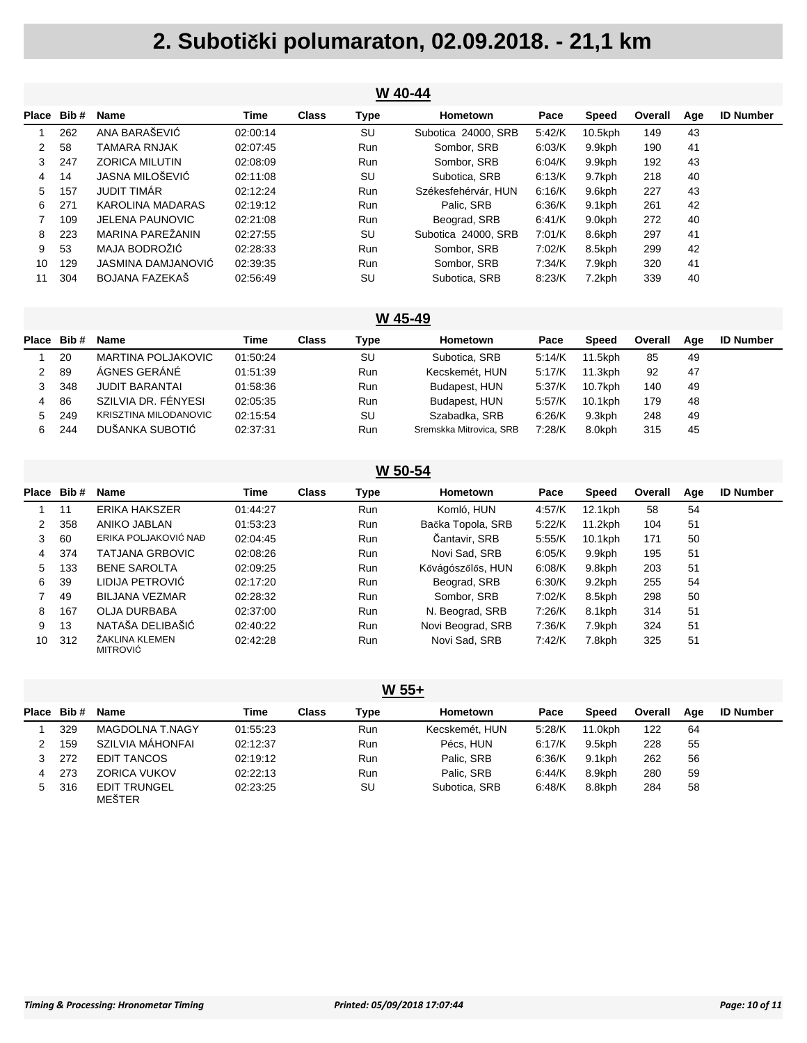|              | W 40-44 |                        |          |              |            |                     |        |         |         |     |                  |  |  |
|--------------|---------|------------------------|----------|--------------|------------|---------------------|--------|---------|---------|-----|------------------|--|--|
| <b>Place</b> | Bib#    | <b>Name</b>            | Time     | <b>Class</b> | Type       | Hometown            | Pace   | Speed   | Overall | Age | <b>ID Number</b> |  |  |
|              | 262     | ANA BARAŠEVIĆ          | 02:00:14 |              | SU         | Subotica 24000, SRB | 5:42/K | 10.5kph | 149     | 43  |                  |  |  |
| 2            | 58      | TAMARA RNJAK           | 02:07:45 |              | Run        | Sombor, SRB         | 6.03/K | 9.9kph  | 190     | 41  |                  |  |  |
| 3            | 247     | <b>ZORICA MILUTIN</b>  | 02:08:09 |              | <b>Run</b> | Sombor, SRB         | 6:04/K | 9.9kph  | 192     | 43  |                  |  |  |
| 4            | 14      | JASNA MILOŠEVIĆ        | 02:11:08 |              | SU         | Subotica, SRB       | 6:13/K | 9.7kph  | 218     | 40  |                  |  |  |
| 5            | 157     | <b>JUDIT TIMAR</b>     | 02:12:24 |              | Run        | Székesfehérvár. HUN | 6:16/K | 9.6kph  | 227     | 43  |                  |  |  |
| 6.           | 271     | KAROLINA MADARAS       | 02:19:12 |              | Run        | Palic. SRB          | 6.36/K | 9.1kph  | 261     | 42  |                  |  |  |
|              | 109     | <b>JELENA PAUNOVIC</b> | 02:21:08 |              | <b>Run</b> | Beograd, SRB        | 6:41/K | 9.0kph  | 272     | 40  |                  |  |  |
| 8            | 223     | MARINA PAREŽANIN       | 02:27:55 |              | SU         | Subotica 24000, SRB | 7:01/K | 8.6kph  | 297     | 41  |                  |  |  |
| 9            | 53      | MAJA BODROŽIĆ          | 02:28:33 |              | <b>Run</b> | Sombor, SRB         | 7:02/K | 8.5kph  | 299     | 42  |                  |  |  |
| 10           | 129     | JASMINA DAMJANOVIĆ     | 02:39:35 |              | Run        | Sombor, SRB         | 7:34/K | 7.9kph  | 320     | 41  |                  |  |  |
| 11           | 304     | BOJANA FAZEKAŠ         | 02:56:49 |              | SU         | Subotica, SRB       | 8:23/K | 7.2kph  | 339     | 40  |                  |  |  |

#### **W 45-49**

| <b>Place</b> | Bib# | <b>Name</b>                  | Time     | Class | Type       | Hometown                | Pace   | Speed      | Overall | Aae | <b>ID Number</b> |
|--------------|------|------------------------------|----------|-------|------------|-------------------------|--------|------------|---------|-----|------------------|
|              | 20   | MARTINA POLJAKOVIC           | 01:50:24 |       | SU         | Subotica, SRB           | 5:14/K | 11.5kph    | 85      | 49  |                  |
| 2            | 89   | ÁGNES GERÁNÉ                 | 01:51:39 |       | <b>Run</b> | Kecskemét, HUN          | 5:17/K | $11.3$ kph | 92      | 47  |                  |
|              | 348  | JUDIT BARANTAI               | 01:58:36 |       | <b>Run</b> | Budapest, HUN           | 5:37/K | 10.7kph    | 140     | 49  |                  |
| 4            | 86   | SZILVIA DR. FÉNYESI          | 02:05:35 |       | <b>Run</b> | Budapest, HUN           | 5:57/K | 10.1kph    | 179     | 48  |                  |
| 5.           | 249  | <b>KRISZTINA MILODANOVIC</b> | 02:15:54 |       | SU         | Szabadka, SRB           | 6:26/K | 9.3kph     | 248     | 49  |                  |
| 6.           | 244  | DUŠANKA SUBOTIĆ              | 02:37:31 |       | Run        | Sremskka Mitrovica, SRB | 7:28/K | 8.0kph     | 315     | 45  |                  |

| W 50-54 |             |                            |          |              |            |                   |        |            |         |     |                  |
|---------|-------------|----------------------------|----------|--------------|------------|-------------------|--------|------------|---------|-----|------------------|
|         | Place Bib # | <b>Name</b>                | Time     | <b>Class</b> | Type       | Hometown          | Pace   | Speed      | Overall | Age | <b>ID Number</b> |
|         | 11          | <b>ERIKA HAKSZER</b>       | 01:44:27 |              | <b>Run</b> | Komló, HUN        | 4:57/K | 12.1kph    | 58      | 54  |                  |
| 2       | 358         | ANIKO JABLAN               | 01:53:23 |              | <b>Run</b> | Bačka Topola, SRB | 5:22/K | 11.2kph    | 104     | 51  |                  |
| 3       | 60          | ERIKA POLJAKOVIĆ NAĐ       | 02:04:45 |              | <b>Run</b> | Čantavir, SRB     | 5:55/K | $10.1$ kph | 171     | 50  |                  |
| 4       | 374         | <b>TATJANA GRBOVIC</b>     | 02:08:26 |              | <b>Run</b> | Novi Sad, SRB     | 6:05/K | 9.9kph     | 195     | 51  |                  |
| 5       | 133         | <b>BENE SAROLTA</b>        | 02:09:25 |              | <b>Run</b> | Kővágószőlős, HUN | 6:08/K | 9.8kph     | 203     | 51  |                  |
| 6       | 39          | LIDIJA PETROVIĆ            | 02:17:20 |              | <b>Run</b> | Beograd, SRB      | 6:30/K | 9.2kph     | 255     | 54  |                  |
|         | 49          | <b>BILJANA VEZMAR</b>      | 02:28:32 |              | <b>Run</b> | Sombor, SRB       | 7:02/K | 8.5kph     | 298     | 50  |                  |
| 8       | 167         | OLJA DURBABA               | 02:37:00 |              | <b>Run</b> | N. Beograd, SRB   | 7:26/K | 8.1kph     | 314     | 51  |                  |
| 9       | 13          | NATAŠA DELIBAŠIĆ           | 02:40:22 |              | <b>Run</b> | Novi Beograd, SRB | 7:36/K | 7.9kph     | 324     | 51  |                  |
| 10      | 312         | ŽAKLINA KLEMEN<br>MITROVIĆ | 02:42:28 |              | <b>Run</b> | Novi Sad, SRB     | 7:42/K | 7.8kph     | 325     | 51  |                  |

#### **W 55+**

| Place | Bib# | <b>Name</b>                          | Time     | Class | Type       | Hometown       | Pace      | <b>Speed</b> | Overall | Aae | <b>ID Number</b> |
|-------|------|--------------------------------------|----------|-------|------------|----------------|-----------|--------------|---------|-----|------------------|
|       | 329  | MAGDOLNA T.NAGY                      | 01:55:23 |       | <b>Run</b> | Kecskemét, HUN | 5.28/K    | 11.0kph      | 122     | 64  |                  |
|       | 159  | SZILVIA MÁHONFAI                     | 02:12:37 |       | <b>Run</b> | Pécs. HUN      | 6.17/K    | 9.5kph       | 228     | 55  |                  |
|       | 272  | EDIT TANCOS                          | 02:19:12 |       | <b>Run</b> | Palic. SRB     | 6.36/K    | $9.1$ kph    | 262     | 56  |                  |
|       | 273  | <b>ZORICA VUKOV</b>                  | 02:22:13 |       | Run        | Palic. SRB     | $6.44$ /K | 8.9kph       | 280     | 59  |                  |
| 5.    | 316  | <b>EDIT TRUNGEL</b><br><b>MEŠTER</b> | 02:23:25 |       | SU         | Subotica, SRB  | 6.48/K    | 8.8kph       | 284     | 58  |                  |